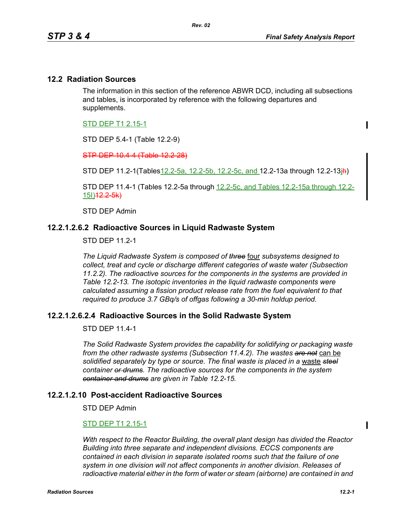#### **12.2 Radiation Sources**

The information in this section of the reference ABWR DCD, including all subsections and tables, is incorporated by reference with the following departures and supplements.

STD DEP T1 2.15-1

STD DEP 5.4-1 (Table 12.2-9)

STP DEP 10.4-4 (Table 12.2-28)

STD DEP 11.2-1(Tables12.2-5a, 12.2-5b, 12.2-5c, and 12.2-13a through 12.2-13ih)

STD DEP 11.4-1 (Tables 12.2-5a through 12.2-5c, and Tables 12.2-15a through 12.2-  $151)$ <sup>12.2</sup> $-5k$ )

STD DEP Admin

## **12.2.1.2.6.2 Radioactive Sources in Liquid Radwaste System**

STD DEP 11.2-1

*The Liquid Radwaste System is composed of three* four *subsystems designed to collect, treat and cycle or discharge different categories of waste water (Subsection 11.2.2). The radioactive sources for the components in the systems are provided in Table 12.2-13. The isotopic inventories in the liquid radwaste components were calculated assuming a fission product release rate from the fuel equivalent to that required to produce 3.7 GBq/s of offgas following a 30-min holdup period.* 

# **12.2.1.2.6.2.4 Radioactive Sources in the Solid Radwaste System**

STD DEP 11.4-1

*The Solid Radwaste System provides the capability for solidifying or packaging waste from the other radwaste systems (Subsection 11.4.2). The wastes are not* can be *solidified separately by type or source. The final waste is placed in a* waste *steel container or drums. The radioactive sources for the components in the system container and drums are given in Table 12.2-15.*

#### **12.2.1.2.10 Post-accident Radioactive Sources**

STD DEP Admin

#### STD DEP T1 2.15-1

*With respect to the Reactor Building, the overall plant design has divided the Reactor Building into three separate and independent divisions. ECCS components are contained in each division in separate isolated rooms such that the failure of one system in one division will not affect components in another division. Releases of radioactive material either in the form of water or steam (airborne) are contained in and*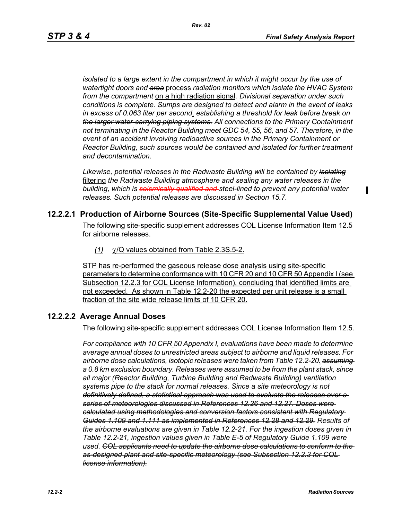Π

*isolated to a large extent in the compartment in which it might occur by the use of watertight doors and area* process *radiation monitors which isolate the HVAC System from the compartment* on a high radiation signal*. Divisional separation under such conditions is complete. Sumps are designed to detect and alarm in the event of leaks in excess of 0.063 liter per second*. *establishing a threshold for leak before break on the larger water-carrying piping systems. All connections to the Primary Containment not terminating in the Reactor Building meet GDC 54, 55, 56, and 57. Therefore, in the event of an accident involving radioactive sources in the Primary Containment or Reactor Building, such sources would be contained and isolated for further treatment and decontamination.*

*Likewise, potential releases in the Radwaste Building will be contained by isolating* filtering *the Radwaste Building atmosphere and sealing any water releases in the building, which is seismically qualified and steel-lined to prevent any potential water releases. Such potential releases are discussed in Section 15.7.* 

## **12.2.2.1 Production of Airborne Sources (Site-Specific Supplemental Value Used)**

The following site-specific supplement addresses COL License Information Item 12.5 for airborne releases.

*(1)* χ/Q values obtained from Table 2.3S.5-2.

STP has re-performed the gaseous release dose analysis using site-specific parameters to determine conformance with 10 CFR 20 and 10 CFR 50 Appendix I (see Subsection 12.2.3 for COL License Information), concluding that identified limits are not exceeded. As shown in Table 12.2-20 the expected per unit release is a small fraction of the site wide release limits of 10 CFR 20.

#### **12.2.2.2 Average Annual Doses**

The following site-specific supplement addresses COL License Information Item 12.5.

*For compliance with 10 CFR 50 Appendix I, evaluations have been made to determine average annual doses to unrestricted areas subject to airborne and liquid releases. For airborne dose calculations, isotopic releases were taken from Table 12.2-20. assuming a 0.8 km exclusion boundary. Releases were assumed to be from the plant stack, since all major (Reactor Building, Turbine Building and Radwaste Building) ventilation systems pipe to the stack for normal releases. Since a site meteorology is not definitively defined, a statistical approach was used to evaluate the releases over a series of meteorologies discussed in References 12.26 and 12.27. Doses were calculated using methodologies and conversion factors consistent with Regulatory Guides 1.109 and 1.111 as implemented in References 12.28 and 12.29. Results of the airborne evaluations are given in Table 12.2-21. For the ingestion doses given in Table 12.2-21, ingestion values given in Table E-5 of Regulatory Guide 1.109 were used. COL applicants need to update the airborne dose calculations to conform to the as-designed plant and site-specific meteorology (see Subsection 12.2.3 for COL license information).*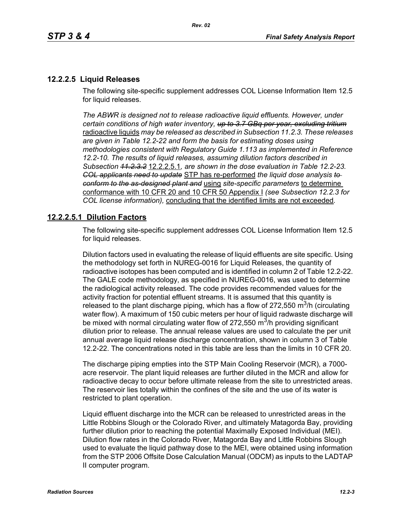# **12.2.2.5 Liquid Releases**

The following site-specific supplement addresses COL License Information Item 12.5 for liquid releases.

*The ABWR is designed not to release radioactive liquid effluents. However, under certain conditions of high water inventory, up to 3.7 GBq per year, excluding tritium* radioactive liquids *may be released as described in Subsection 11.2.3. These releases are given in Table 12.2-22 and form the basis for estimating doses using methodologies consistent with Regulatory Guide 1.113 as implemented in Reference 12.2-10. The results of liquid releases, assuming dilution factors described in Subsection 11.2.3.2* 12.2.2.5.1*, are shown in the dose evaluation in Table 12.2-23. COL applicants need to update* STP has re-performed *the liquid dose analysis to conform to the as-designed plant and* using *site-specific parameters* to determine conformance with 10 CFR 20 and 10 CFR 50 Appendix I *(see Subsection 12.2.3 for COL license information),* concluding that the identified limits are not exceeded*.*

## **12.2.2.5.1 Dilution Factors**

The following site-specific supplement addresses COL License Information Item 12.5 for liquid releases.

Dilution factors used in evaluating the release of liquid effluents are site specific. Using the methodology set forth in NUREG-0016 for Liquid Releases, the quantity of radioactive isotopes has been computed and is identified in column 2 of Table 12.2-22. The GALE code methodology, as specified in NUREG-0016, was used to determine the radiological activity released. The code provides recommended values for the activity fraction for potential effluent streams. It is assumed that this quantity is released to the plant discharge piping, which has a flow of 272,550 m<sup>3</sup>/h (circulating water flow). A maximum of 150 cubic meters per hour of liquid radwaste discharge will be mixed with normal circulating water flow of 272,550  $\text{m}^3$ /h providing significant dilution prior to release. The annual release values are used to calculate the per unit annual average liquid release discharge concentration, shown in column 3 of Table 12.2-22. The concentrations noted in this table are less than the limits in 10 CFR 20.

The discharge piping empties into the STP Main Cooling Reservoir (MCR), a 7000 acre reservoir. The plant liquid releases are further diluted in the MCR and allow for radioactive decay to occur before ultimate release from the site to unrestricted areas. The reservoir lies totally within the confines of the site and the use of its water is restricted to plant operation.

Liquid effluent discharge into the MCR can be released to unrestricted areas in the Little Robbins Slough or the Colorado River, and ultimately Matagorda Bay, providing further dilution prior to reaching the potential Maximally Exposed Individual (MEI). Dilution flow rates in the Colorado River, Matagorda Bay and Little Robbins Slough used to evaluate the liquid pathway dose to the MEI, were obtained using information from the STP 2006 Offsite Dose Calculation Manual (ODCM) as inputs to the LADTAP II computer program.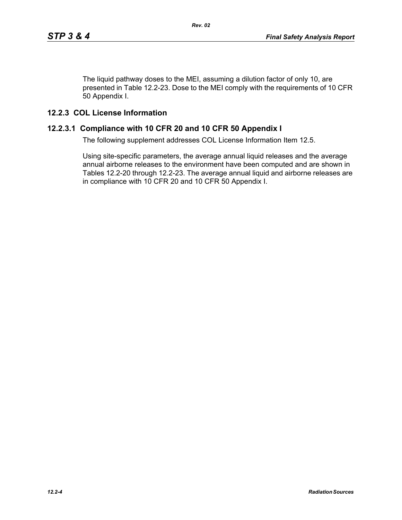The liquid pathway doses to the MEI, assuming a dilution factor of only 10, are presented in Table 12.2-23. Dose to the MEI comply with the requirements of 10 CFR 50 Appendix I.

# **12.2.3 COL License Information**

# **12.2.3.1 Compliance with 10 CFR 20 and 10 CFR 50 Appendix I**

The following supplement addresses COL License Information Item 12.5.

Using site-specific parameters, the average annual liquid releases and the average annual airborne releases to the environment have been computed and are shown in Tables 12.2-20 through 12.2-23. The average annual liquid and airborne releases are in compliance with 10 CFR 20 and 10 CFR 50 Appendix I.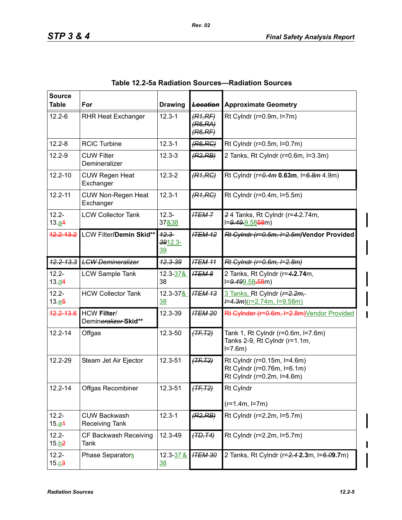| <b>Source</b><br><b>Table</b> | For                                          | <b>Drawing</b>            | <del>Location</del>            | <b>Approximate Geometry</b>                                                              |
|-------------------------------|----------------------------------------------|---------------------------|--------------------------------|------------------------------------------------------------------------------------------|
| $12.2 - 6$                    | <b>RHR Heat Exchanger</b>                    | $12.3 - 1$                | (R1,RF)<br>(R6, RA)<br>(R6,RF) | Rt Cylndr ( $r=0.9m$ , $l=7m$ )                                                          |
| $12.2 - 8$                    | <b>RCIC Turbine</b>                          | $12.3 - 1$                | (R6, RC)                       | Rt Cylndr (r=0.5m, l=0.7m)                                                               |
| $12.2 - 9$                    | <b>CUW Filter</b><br>Demineralizer           | $12.3 - 3$                | (R2, RB)                       | 2 Tanks, Rt Cylndr (r=0.6m, l=3.3m)                                                      |
| $12.2 - 10$                   | <b>CUW Regen Heat</b><br>Exchanger           | $12.3 - 2$                | (R1, RC)                       | Rt Cylndr (r=0.4m 0.63m, l=6.8m 4.9m)                                                    |
| $12.2 - 11$                   | <b>CUW Non-Regen Heat</b><br>Exchanger       | $12.3 - 1$                | (R1, RC)                       | Rt Cylndr (r=0.4m, l=5.5m)                                                               |
| $12.2 -$<br>13. a4            | <b>LCW Collector Tank</b>                    | $12.3 -$<br>37&38         | <b>ITEM 7</b>                  | 24 Tanks, Rt Cylndr (r=4.2.74m,<br>l= <del>9.49.9</del> .5858m)                          |
| $42.2 - 13.2$                 | LCW Filter/Demin Skid**                      | $12.3 -$<br>3912.3-<br>39 | ITEM <sub>12</sub>             | Rt Cylndr (r=0.5m, I=2.5m)Vendor Provided                                                |
|                               | 12.2-13.3 LGW Demineralizer                  | $42.3 - 39$               | <b>ITEM 11</b>                 | Rt Cylndr (r=0.6m, I=2.8m)                                                               |
| $12.2 -$<br>13. d4            | <b>LCW Sample Tank</b>                       | 12.3-37&<br>38            | <b>ITEM 8</b>                  | 2 Tanks, Rt Cylndr (r=4.2.74m,<br>l= <del>9.499</del> .58 <del>.58</del> m)              |
| $12.2 -$<br>13.65             | <b>HCW Collector Tank</b>                    | $12.3 - 378$<br>38        | <b>ITEM 13</b>                 | 3 Tanks, Rt Cylndr (F=2.2m,<br>$I=4.3m$ )(r=2.74m, l=9.58m)                              |
| $12.2 - 13.6$                 | <b>HCW Filter/</b><br>Demineralizer-Skid**   | 12.3-39                   | <b>ITEM 20</b>                 | Rt Cylnder (r=0.6m, I=2.8m) Vendor Provided                                              |
| $12.2 - 14$                   | Offgas                                       | 12.3-50                   | $(TF, T2)$                     | Tank 1, Rt Cylndr (r=0.6m, l=7.6m)<br>Tanks 2-9, Rt Cylndr (r=1.1m,<br>$I = 7.6m$        |
| 12.2-29                       | Steam Jet Air Ejector                        | 12.3-51                   | $(TF, T2)$                     | Rt Cylndr (r=0.15m, l=4.6m)<br>Rt Cylndr (r=0.76m, l=6.1m)<br>Rt Cylndr (r=0.2m, I=4.6m) |
| $12.2 - 14$                   | Offgas Recombiner                            | 12.3-51                   | $(TF, T2)$                     | Rt Cylndr                                                                                |
|                               |                                              |                           |                                | $(r=1.4m, l=7m)$                                                                         |
| $12.2 -$<br>15.a <sub>4</sub> | <b>CUW Backwash</b><br><b>Receiving Tank</b> | $12.3 - 1$                | (R2, RB)                       | Rt Cylndr (r=2.2m, l=5.7m)                                                               |
| $12.2 -$<br>15.62             | CF Backwash Receiving<br>Tank                | 12.3-49                   | (TD, T4)                       | Rt Cylndr (r=2.2m, l=5.7m)                                                               |
| $12.2 -$<br>15. <u>c</u> 3    | Phase Separators                             | 12.3-37&<br><u>38</u>     | <b>ITEM 30</b>                 | 2 Tanks, Rt Cylndr (r=2.4-2.3m, l=6.09.7m)                                               |

Π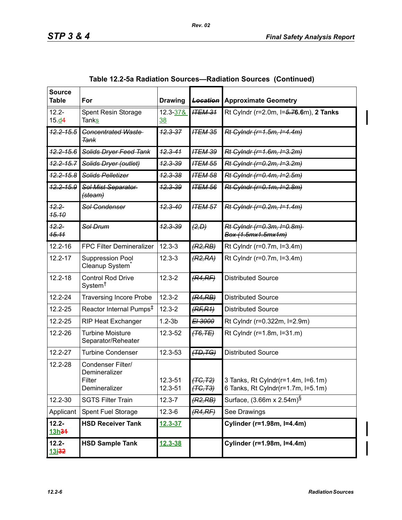| <b>Source</b><br>Table               | For                                                           | <b>Drawing</b>        | <b>Location</b>      | <b>Approximate Geometry</b>                                              |
|--------------------------------------|---------------------------------------------------------------|-----------------------|----------------------|--------------------------------------------------------------------------|
| $12.2 -$<br>15. d4                   | Spent Resin Storage<br><b>Tanks</b>                           | 12.3-37&<br><u>38</u> | <b>ITEM 31</b>       | Rt Cylndr (r=2.0m, l=5.76.6m), 2 Tanks                                   |
| <del>12.2-15.5</del>                 | <b>Concentrated Waste</b><br><del>Tank</del>                  | $42.3 - 37$           | <b>ITEM 35</b>       | Rt Cylndr (r=1.5m, I=4.4m)                                               |
| <del>12.2-15.6</del>                 | <b>Solids Dryer Feed Tank</b>                                 | $42.3 - 41$           | <b>ITEM 39</b>       | Rt Cylndr (r=1.6m, I=3.2m)                                               |
| $12.2 - 15.7$                        | Solids Dryer (outlet)                                         | $42.3 - 39$           | <b>ITEM 55</b>       | Rt Cylndr (r=0.2m, I=3.2m)                                               |
| <del>12.2-15.8</del>                 | Solids Pelletizer                                             | <del>12.3-38</del>    | <b>ITEM 58</b>       | Rt Cylndr (r=0.4m, I=2.5m)                                               |
| <del>12.2-15.9</del>                 | Sol Mist Separator<br><del>(steam)</del>                      | <del>12.3-39</del>    | <b>ITEM 56</b>       | Rt Cylndr (r=0.1m, I=2.8m)                                               |
| $42.2 -$<br><b>15.10</b>             | <b>Sol Condenser</b>                                          | $42.3 - 40$           | <b>ITEM 57</b>       | Rt Cylndr (r=0.2m, l=1.4m)                                               |
| $12.2 -$<br><b>15.11</b>             | Sol Drum                                                      | $42.3 - 39$           | (2, D)               | Rt Cylndr (r=0.3m, I=0.8m)<br>Box (1.5mx1.5mx1m)                         |
| $12.2 - 16$                          | <b>FPC Filter Demineralizer</b>                               | $12.3 - 3$            | (R2, RB)             | Rt Cylndr (r=0.7m, l=3.4m)                                               |
| $12.2 - 17$                          | Suppression Pool<br>Cleanup System <sup>®</sup>               | $12.3 - 3$            | (R2, RA)             | Rt Cylndr (r=0.7m, l=3.4m)                                               |
| $12.2 - 18$                          | <b>Control Rod Drive</b><br>System <sup>†</sup>               | $12.3 - 2$            | (R4,RF)              | <b>Distributed Source</b>                                                |
| 12.2-24                              | <b>Traversing Incore Probe</b>                                | $12.3 - 2$            | (R4, RB)             | <b>Distributed Source</b>                                                |
| 12.2-25                              | Reactor Internal Pumps <sup>‡</sup>                           | $12.3 - 2$            | (RF, R1)             | <b>Distributed Source</b>                                                |
| 12.2-25                              | <b>RIP Heat Exchanger</b>                                     | $1.2 - 3b$            | E <sub>1</sub> 3000  | Rt Cylndr (r=0.322m, l=2.9m)                                             |
| 12.2-26                              | <b>Turbine Moisture</b><br>Separator/Reheater                 | 12.3-52               | $(+76, TE)$          | Rt Cylndr (r=1.8m, l=31.m)                                               |
| 12.2-27                              | <b>Turbine Condenser</b>                                      | $12.3 - 53$           | (TD, TG)             | <b>Distributed Source</b>                                                |
| 12.2-28                              | Condenser Filter/<br>Demineralizer<br>Filter<br>Demineralizer | 12.3-51<br>12.3-51    | (TG, T2)<br>(TG, T3) | 3 Tanks, Rt Cylndr(r=1.4m, l=6.1m)<br>6 Tanks, Rt Cylndr(r=1.7m, I=5.1m) |
| 12.2-30                              | <b>SGTS Filter Train</b>                                      | 12.3-7                | (R2, RB)             | Surface, $(3.66m \times 2.54m)^{\S}$                                     |
| Applicant                            | Spent Fuel Storage                                            | 12.3-6                | (R4,RF)              | See Drawings                                                             |
| $12.2 -$<br>13h <del>31</del>        | <b>HSD Receiver Tank</b>                                      | <u>12.3-37</u>        |                      | Cylinder (r=1.98m, l=4.4m)                                               |
| $12.2 -$<br><u> 13i<del>32</del></u> | <b>HSD Sample Tank</b>                                        | 12.3-38               |                      | Cylinder (r=1.98m, l=4.4m)                                               |

| Table 12.2-5a Radiation Sources—Radiation Sources (Continued) |  |  |  |  |  |
|---------------------------------------------------------------|--|--|--|--|--|
|---------------------------------------------------------------|--|--|--|--|--|

I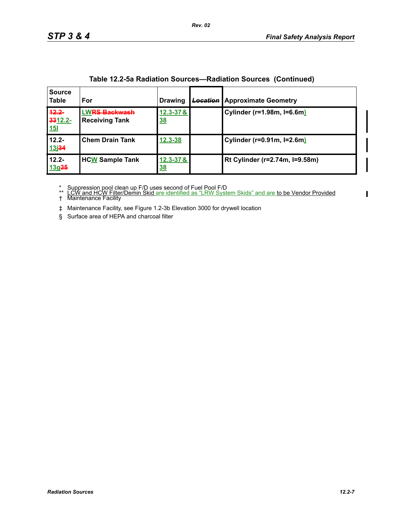| <b>Source</b><br><b>Table</b>     | For                                          | <b>Drawing</b>             | <b>Location</b> | <b>Approximate Geometry</b>    |
|-----------------------------------|----------------------------------------------|----------------------------|-----------------|--------------------------------|
| $42.2 -$<br>3312.2-<br><b>15l</b> | <b>WRS Backwash</b><br><b>Receiving Tank</b> | $12.3 - 37 &$<br><u>38</u> |                 | Cylinder (r=1.98m, I=6.6m)     |
| $12.2 -$<br>13 <sub>1</sub> 34    | <b>Chem Drain Tank</b>                       | $12.3 - 38$                |                 | Cylinder (r=0.91m, I=2.6m)     |
| $12.2 -$<br>13q35                 | <b>HCW Sample Tank</b>                       | $12.3 - 37 &$<br><u>38</u> |                 | Rt Cylinder (r=2.74m, I=9.58m) |

\* Suppression pool clean up F/D uses second of Fuel Pool F/D<br>\*\* <u>LCW and HCW Filter/Demin Skid are identified as "LRW System Skids" and are to be Vendor Provided</u><br>† Maintenance Facility

‡ Maintenance Facility, see Figure 1.2-3b Elevation 3000 for drywell location

§ Surface area of HEPA and charcoal filter

 $\blacksquare$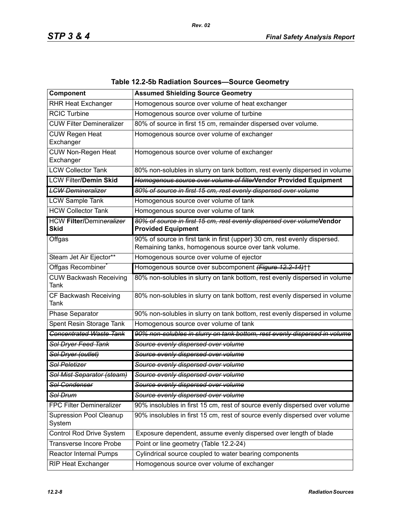| Component                                      | <b>Assumed Shielding Source Geometry</b>                                                                                           |
|------------------------------------------------|------------------------------------------------------------------------------------------------------------------------------------|
| <b>RHR Heat Exchanger</b>                      | Homogenous source over volume of heat exchanger                                                                                    |
| <b>RCIC Turbine</b>                            | Homogenous source over volume of turbine                                                                                           |
| <b>CUW Filter Demineralizer</b>                | 80% of source in first 15 cm, remainder dispersed over volume.                                                                     |
| <b>CUW Regen Heat</b><br>Exchanger             | Homogenous source over volume of exchanger                                                                                         |
| <b>CUW Non-Regen Heat</b><br>Exchanger         | Homogenous source over volume of exchanger                                                                                         |
| <b>LCW Collector Tank</b>                      | 80% non-solubles in slurry on tank bottom, rest evenly dispersed in volume                                                         |
| <b>LCW Filter/Demin Skid</b>                   | Homogenous source over volume of filterVendor Provided Equipment                                                                   |
| <b>LCW Demineralizer</b>                       | 80% of source in first 15 cm, rest evenly dispersed over volume                                                                    |
| <b>LCW Sample Tank</b>                         | Homogenous source over volume of tank                                                                                              |
| <b>HCW Collector Tank</b>                      | Homogenous source over volume of tank                                                                                              |
| <b>HCW Filter/Demineralizer</b><br><b>Skid</b> | 80% of source in first 15 cm, rest evenly dispersed over volumeVendor<br><b>Provided Equipment</b>                                 |
| Offgas                                         | 90% of source in first tank in first (upper) 30 cm, rest evenly dispersed.<br>Remaining tanks, homogenous source over tank volume. |
| Steam Jet Air Ejector**                        | Homogenous source over volume of ejector                                                                                           |
| Offgas Recombiner                              | Homogenous source over subcomponent (Figure 12.2-14)++                                                                             |
| <b>CUW Backwash Receiving</b><br>Tank          | 80% non-solubles in slurry on tank bottom, rest evenly dispersed in volume                                                         |
| CF Backwash Receiving<br>Tank                  | 80% non-solubles in slurry on tank bottom, rest evenly dispersed in volume                                                         |
| Phase Separator                                | 90% non-solubles in slurry on tank bottom, rest evenly dispersed in volume                                                         |
| Spent Resin Storage Tank                       | Homogenous source over volume of tank                                                                                              |
| <b>Concentrated Waste Tank</b>                 | 90% non-solubles in slurry on tank bottom, rest evenly dispersed in volume                                                         |
| Sol Dryer Feed Tank                            | Source evenly dispersed over volume                                                                                                |
| Sol Dryer (outlet)                             | Source evenly dispersed over volume                                                                                                |
| Sol Peletizer                                  | Source evenly dispersed over volume                                                                                                |
| Sol Mist Separator (steam)                     | Source evenly dispersed over volume                                                                                                |
| Sol Condenser                                  | Source evenly dispersed over volume                                                                                                |
| Sol Drum                                       | Source evenly dispersed over volume                                                                                                |
| FPC Filter Demineralizer                       | 90% insolubles in first 15 cm, rest of source evenly dispersed over volume                                                         |
| <b>Supression Pool Cleanup</b><br>System       | 90% insolubles in first 15 cm, rest of source evenly dispersed over volume                                                         |
| Control Rod Drive System                       | Exposure dependent, assume evenly dispersed over length of blade                                                                   |
| <b>Transverse Incore Probe</b>                 | Point or line geometry (Table 12.2-24)                                                                                             |
| <b>Reactor Internal Pumps</b>                  | Cylindrical source coupled to water bearing components                                                                             |
| RIP Heat Exchanger                             | Homogenous source over volume of exchanger                                                                                         |

# **Table 12.2-5b Radiation Sources—Source Geometry**

*Rev. 02*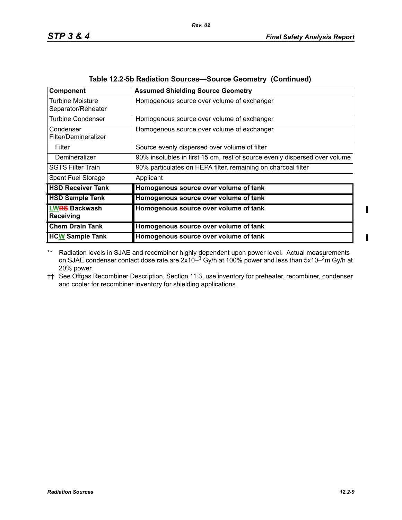| <b>Component</b>                              | <b>Assumed Shielding Source Geometry</b>                                   |
|-----------------------------------------------|----------------------------------------------------------------------------|
| <b>Turbine Moisture</b><br>Separator/Reheater | Homogenous source over volume of exchanger                                 |
| <b>Turbine Condenser</b>                      | Homogenous source over volume of exchanger                                 |
| Condenser<br>Filter/Demineralizer             | Homogenous source over volume of exchanger                                 |
| Filter                                        | Source evenly dispersed over volume of filter                              |
| Demineralizer                                 | 90% insolubles in first 15 cm, rest of source evenly dispersed over volume |
| <b>SGTS Filter Train</b>                      | 90% particulates on HEPA filter, remaining on charcoal filter              |
| Spent Fuel Storage                            | Applicant                                                                  |
| <b>HSD Receiver Tank</b>                      | Homogenous source over volume of tank                                      |
| <b>HSD Sample Tank</b>                        | Homogenous source over volume of tank                                      |
| <b>LWRS Backwash</b><br><b>Receiving</b>      | Homogenous source over volume of tank                                      |
| <b>Chem Drain Tank</b>                        | Homogenous source over volume of tank                                      |
| <b>HCW</b> Sample Tank                        | Homogenous source over volume of tank                                      |

|  | Table 12.2-5b Radiation Sources-Source Geometry (Continued) |  |  |  |  |  |  |
|--|-------------------------------------------------------------|--|--|--|--|--|--|
|--|-------------------------------------------------------------|--|--|--|--|--|--|

*Rev. 02*

\*\* Radiation levels in SJAE and recombiner highly dependent upon power level. Actual measurements on SJAE condenser contact dose rate are 2x10– $^3$  Gy/h at 100% power and less than 5x10– $^2$ m Gy/h at 20% power.

†† See Offgas Recombiner Description, Section 11.3, use inventory for preheater, recombiner, condenser and cooler for recombiner inventory for shielding applications.

 $\blacksquare$ 

 $\blacksquare$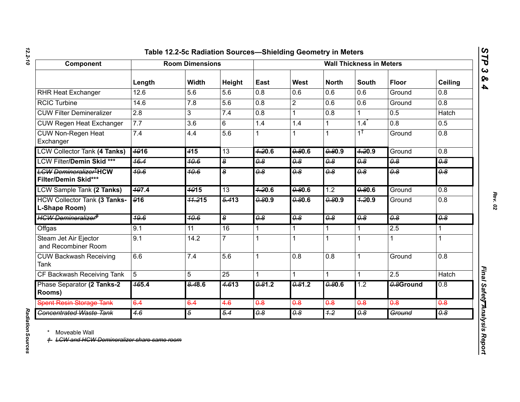# *12.2-10*

| Component                                                           |                   | <b>Room Dimensions</b> |                 |                     |                  |                  | <b>Wall Thickness in Meters</b> |                  |                  |
|---------------------------------------------------------------------|-------------------|------------------------|-----------------|---------------------|------------------|------------------|---------------------------------|------------------|------------------|
|                                                                     | Length            | <b>Width</b>           | Height          | East                | West             | <b>North</b>     | <b>South</b>                    | <b>Floor</b>     | <b>Ceiling</b>   |
| <b>RHR Heat Exchanger</b>                                           | 12.6              | 5.6                    | 5.6             | 0.8                 | 0.6              | 0.6              | 0.6                             | Ground           | 0.8              |
| <b>RCIC Turbine</b>                                                 | 14.6              | 7.8                    | 5.6             | 0.8                 | $\overline{2}$   | 0.6              | 0.6                             | Ground           | $\overline{0.8}$ |
| <b>CUW Filter Demineralizer</b>                                     | $\overline{2.8}$  | 3                      | 7.4             | 0.8                 | $\mathbf 1$      | $\overline{0.8}$ | 1                               | 0.5              | <b>Hatch</b>     |
| <b>CUW Regen Heat Exchanger</b>                                     | 7.7               | 3.6                    | 6               | 1.4                 | 1.4              | $\mathbf{1}$     | 1.4                             | 0.8              | 0.5              |
| <b>CUW Non-Regen Heat</b><br>Exchanger                              | 7.4               | 4.4                    | 5.6             |                     |                  | $\mathbf{1}$     | $1^{\dagger}$                   | Ground           | 0.8              |
| <b>LCW Collector Tank (4 Tanks)</b>                                 | <b>4916</b>       | 415                    | 13              | 4.20.6              | 0.80.6           | 0.80.9           | 7.20.9                          | Ground           | 0.8              |
| LCW Filter/Demin Skid ***                                           | 46.4              | 40.6                   | $\bullet$       | $\overline{\theta}$ | $\overline{4.8}$ | $\overline{48}$  | $\overline{4}$                  | $\overline{4.8}$ | $\theta$         |
| <del>LCW Demineralizer<sup>T</sup>HCW</del><br>Filter/Demin Skid*** | 49.6              | 40.6                   | 8               | $\overline{4.8}$    | $\overline{4.8}$ | $\overline{4.8}$ | $\overline{4}$                  | $\overline{4.8}$ | $\overline{48}$  |
| <b>LCW Sample Tank (2 Tanks)</b>                                    | 497.4             | $\frac{4015}{ }$       | 13              | 7.20.6              | 0.80.6           | 1.2              | 0.806                           | Ground           | $\overline{0.8}$ |
| <b>HCW Collector Tank (3 Tanks-</b><br>L-Shape Room)                | 916               | 44.215                 | 5.413           | 0.80.9              | 0.806            | 0.80.9           | 7.20.9                          | Ground           | 0.8              |
| HCW Demineralizer <sup>‡</sup>                                      | <del>19.6</del>   | 40.6                   | 8               | $\overline{4}$      | $\overline{4}$   | $\overline{4.8}$ | $\overline{4.8}$                | $\overline{4.8}$ | $\overline{4.8}$ |
| Offgas                                                              | 9.1               | 11                     | 16              | 1                   | $\mathbf{1}$     | $\overline{1}$   | 1                               | 2.5              | 1                |
| Steam Jet Air Ejector<br>and Recombiner Room                        | 9.1               | 14.2                   | $\overline{7}$  | 1                   |                  | 1                | 1                               |                  |                  |
| <b>CUW Backwash Receiving</b><br><b>Tank</b>                        | 6.6               | 7.4                    | 5.6             | 1                   | 0.8              | 0.8              | $\mathbf 1$                     | Ground           | 0.8              |
| CF Backwash Receiving Tank                                          | 5                 | 5                      | $\overline{25}$ | 1                   |                  | 1                | 1                               | 2.5              | <b>Hatch</b>     |
| Phase Separator (2 Tanks-2<br>Rooms)                                | $\frac{465.4}{5}$ | 8.48.6                 | 4.613           | 0.81.2              | 0.81.2           | 0.806            | 1.2                             | 0.8Ground        | 0.8              |
| <b>Spent Resin Storage Tank</b>                                     | 6.4               | 6.4                    | 4.6             | $\overline{0.8}$    | 0.8              | $\theta$ .8      | 0.8                             | $\overline{0.8}$ | $\overline{0.8}$ |
| <b>Concentrated Waste Tank</b>                                      | 4.6               | $\overline{5}$         | 5.4             | 0.8                 | 0.8              | 4.2              | 0.8                             | Ground           | 0.8              |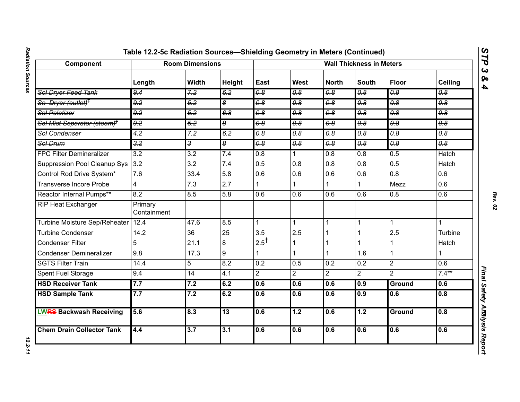| Component                               |                        | <b>Room Dimensions</b> |                  |                                  |                                  |                                  | <b>Wall Thickness in Meters</b> |                                  |                                  |
|-----------------------------------------|------------------------|------------------------|------------------|----------------------------------|----------------------------------|----------------------------------|---------------------------------|----------------------------------|----------------------------------|
|                                         | Length                 | <b>Width</b>           | Height           | East                             | West                             | <b>North</b>                     | <b>South</b>                    | <b>Floor</b>                     | Ceiling                          |
| Sol Dryer Feed Tank                     | 9.4                    | 7.2                    | 6.2              | $\overline{\theta.8}$            | $\overline{\theta.8}$            | $\overline{\theta.8}$            | $\overline{\theta.8}$           | $\overline{\theta \cdot \theta}$ | $\overline{\theta.8}$            |
| So Dryer (outlet) <sup>T</sup>          | 9.2                    | 5.2                    | 8                | $\overline{\theta \cdot \theta}$ | $\overline{\theta.8}$            | $\overline{\theta.8}$            | $\overline{\theta.8}$           | $\overline{\theta.8}$            | $\overline{\theta \cdot \theta}$ |
| <b>Sol Peletizer</b>                    | 9.2                    | 5.2                    | 6.8              | $\overline{\theta.8}$            | 0.8                              | 0.8                              | $\overline{0.8}$                | $\overline{\theta.8}$            | 0.8                              |
| Sol Mist Separator (steam) <sup>+</sup> | 9.2                    | 5.2                    | 8                | $\overline{\theta \cdot \theta}$ | 0.8                              | 0.8                              | 0.8                             | 0.8                              | $\overline{\theta.8}$            |
| Sol Condenser                           | $\overline{4.2}$       | 7.2                    | 6.2              | $\overline{\theta \cdot \theta}$ | $\overline{\theta \cdot \theta}$ | $\overline{\theta.8}$            | $\overline{\theta.8}$           | $\overline{\theta.8}$            | $\overline{\theta.8}$            |
| Sol Drum                                | 3.2                    | نه                     | 8                | $\overline{\theta.8}$            | 0.8                              | $\overline{\theta \cdot \theta}$ | $\overline{\theta.8}$           | 0.8                              | 0.8                              |
| <b>FPC Filter Demineralizer</b>         | 3.2                    | 3.2                    | 7.4              | $\overline{0.8}$                 |                                  | 0.8                              | 0.8                             | 0.5                              | <b>Hatch</b>                     |
| <b>Suppression Pool Cleanup Sys</b>     | 3.2                    | 3.2                    | 7.4              | 0.5                              | 0.8                              | 0.8                              | 0.8                             | 0.5                              | Hatch                            |
| Control Rod Drive System*               | 7.6                    | 33.4                   | 5.8              | 0.6                              | 0.6                              | 0.6                              | 0.6                             | $\overline{0.8}$                 | $\overline{0.6}$                 |
| Transverse Incore Probe                 | 4                      | 7.3                    | $\overline{2.7}$ | 1                                |                                  |                                  |                                 | Mezz                             | 0.6                              |
| Reactor Internal Pumps**                | 8.2                    | 8.5                    | 5.8              | 0.6                              | 0.6                              | 0.6                              | 0.6                             | 0.8                              | 0.6                              |
| <b>RIP Heat Exchanger</b>               | Primary<br>Containment |                        |                  |                                  |                                  |                                  |                                 |                                  |                                  |
| Turbine Moisture Sep/Reheater           | 12.4                   | 47.6                   | 8.5              | $\mathbf{1}$                     |                                  | $\mathbf{1}$                     | 1                               | 1                                | 1                                |
| <b>Turbine Condenser</b>                | 14.2                   | 36                     | $\overline{25}$  | $\overline{3.5}$                 | 2.5                              | $\mathbf 1$                      |                                 | 2.5                              | Turbine                          |
| <b>Condenser Filter</b>                 | 5                      | 21.1                   | 8                | 2.5                              |                                  | 1                                | $\mathbf{1}$                    | 1                                | <b>Hatch</b>                     |
| <b>Condenser Demineralizer</b>          | 9.8                    | 17.3                   | $\overline{9}$   | 1                                |                                  |                                  | 1.6                             | 1                                |                                  |
| <b>SGTS Filter Train</b>                | 14.4                   | 5                      | 8.2              | $\overline{0.2}$                 | 0.5                              | 0.2                              | 0.2                             | $\overline{2}$                   | $\overline{0.6}$                 |
| Spent Fuel Storage                      | 9.4                    | 14                     | 4.1              | $\overline{2}$                   | $\overline{2}$                   | $\overline{2}$                   | $\overline{2}$                  | $\overline{2}$                   | $7.4***$                         |
| <b>HSD Receiver Tank</b>                | 7.7                    | 7.2                    | 6.2              | 0.6                              | 0.6                              | 0.6                              | 0.9                             | Ground                           | 0.6                              |
| <b>HSD Sample Tank</b>                  | 7.7                    | 7.2                    | 6.2              | 0.6                              | 0.6                              | 0.6                              | 0.9                             | 0.6                              | 0.8                              |
| <b>LWRS Backwash Receiving</b>          | 5.6                    | 8.3                    | $\overline{13}$  | 0.6                              | 1.2                              | 0.6                              | 1.2                             | <b>Ground</b>                    | 0.8                              |
| <b>Chem Drain Collector Tank</b>        | 4.4                    | 3.7                    | 3.1              | 0.6                              | 0.6                              | 0.6                              | 0.6                             | 0.6                              | 0.6                              |

*STP 3 & 4*

12.2-11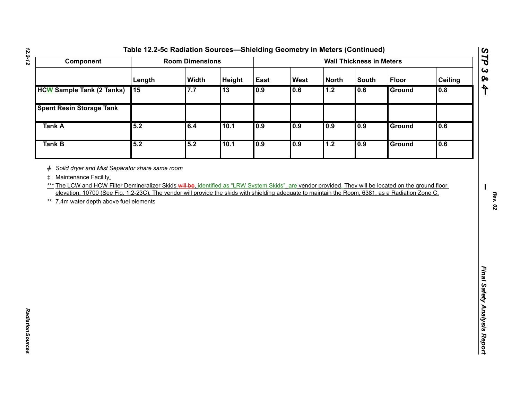| Component                                                                                                                                                                                                                                                                                                                                                                                                                                    |        | <b>Room Dimensions</b> |        |      |             |              | <b>Wall Thickness in Meters</b> |               |                |
|----------------------------------------------------------------------------------------------------------------------------------------------------------------------------------------------------------------------------------------------------------------------------------------------------------------------------------------------------------------------------------------------------------------------------------------------|--------|------------------------|--------|------|-------------|--------------|---------------------------------|---------------|----------------|
|                                                                                                                                                                                                                                                                                                                                                                                                                                              | Length | Width                  | Height | East | <b>West</b> | <b>North</b> | <b>South</b>                    | <b>Floor</b>  | <b>Ceiling</b> |
| <b>HCW Sample Tank (2 Tanks)</b>                                                                                                                                                                                                                                                                                                                                                                                                             | 15     | 7.7                    | 13     | 0.9  | 0.6         | 1.2          | 0.6                             | <b>Ground</b> | 0.8            |
| <b>Spent Resin Storage Tank</b>                                                                                                                                                                                                                                                                                                                                                                                                              |        |                        |        |      |             |              |                                 |               |                |
| <b>Tank A</b>                                                                                                                                                                                                                                                                                                                                                                                                                                | 5.2    | 6.4                    | 10.1   | 0.9  | 0.9         | 0.9          | 0.9                             | Ground        | 0.6            |
| <b>Tank B</b>                                                                                                                                                                                                                                                                                                                                                                                                                                | 5.2    | 5.2                    | 10.1   | 0.9  | 0.9         | 1.2          | 0.9                             | Ground        | 0.6            |
| # Solid dryer and Mist Separator share same room<br>Maintenance Facility<br>$\pm$<br>*** The LCW and HCW Filter Demineralizer Skids will be, identified as "LRW System Skids", are vendor provided. They will be located on the ground floor<br>elevation, 10700 (See Fig. 1.2-23C), The vendor will provide the skids with shielding adequate to maintain the Room, 6381, as a Radiation Zone C.<br>** 7.4m water depth above fuel elements |        |                        |        |      |             |              |                                 |               |                |
|                                                                                                                                                                                                                                                                                                                                                                                                                                              |        |                        |        |      |             |              |                                 |               |                |
|                                                                                                                                                                                                                                                                                                                                                                                                                                              |        |                        |        |      |             |              |                                 |               |                |

*Radiation Sources* 

Radiation Sources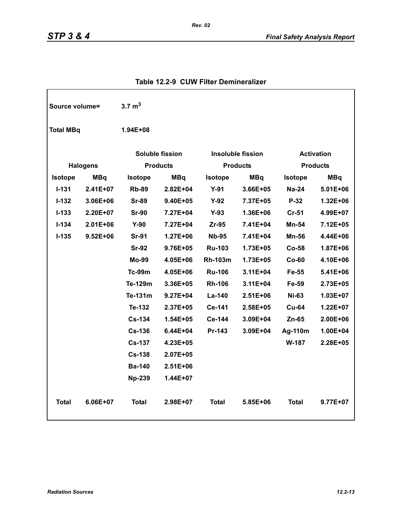| Source volume=   |                        | $3.7 \text{ m}^3$ |                          |                |                   |                |                 |
|------------------|------------------------|-------------------|--------------------------|----------------|-------------------|----------------|-----------------|
| <b>Total MBq</b> |                        | 1.94E+08          |                          |                |                   |                |                 |
|                  | <b>Soluble fission</b> |                   | <b>Insoluble fission</b> |                | <b>Activation</b> |                |                 |
|                  | <b>Halogens</b>        |                   | <b>Products</b>          |                | <b>Products</b>   |                | <b>Products</b> |
| <b>Isotope</b>   | <b>MBq</b>             | <b>Isotope</b>    | <b>MBq</b>               | Isotope        | <b>MBq</b>        | <b>Isotope</b> | <b>MBq</b>      |
| $1 - 131$        | 2.41E+07               | <b>Rb-89</b>      | $2.82E + 04$             | $Y-91$         | 3.66E+05          | $Na-24$        | 5.01E+06        |
| $1 - 132$        | 3.06E+06               | <b>Sr-89</b>      | 9.40E+05                 | $Y-92$         | 7.37E+05          | $P-32$         | 1.32E+06        |
| $I - 133$        | 2.20E+07               | <b>Sr-90</b>      | 7.27E+04                 | $Y-93$         | 1.36E+06          | $Cr-51$        | 4.99E+07        |
| $I - 134$        | $2.01E + 06$           | $Y-90$            | 7.27E+04                 | $Zr-95$        | 7.41E+04          | <b>Mn-54</b>   | 7.12E+05        |
| $I-135$          | $9.52E + 06$           | <b>Sr-91</b>      | $1.27E + 06$             | <b>Nb-95</b>   | 7.41E+04          | Mn-56          | 4.44E+06        |
|                  |                        | <b>Sr-92</b>      | 9.76E+05                 | <b>Ru-103</b>  | 1.73E+05          | $Co-58$        | 1.87E+06        |
|                  |                        | Mo-99             | 4.05E+06                 | <b>Rh-103m</b> | 1.73E+05          | $Co-60$        | 4.10E+06        |
|                  |                        | <b>Tc-99m</b>     | 4.05E+06                 | <b>Ru-106</b>  | 3.11E+04          | Fe-55          | 5.41E+06        |
|                  |                        | Te-129m           | 3.36E+05                 | <b>Rh-106</b>  | $3.11E + 04$      | Fe-59          | 2.73E+05        |
|                  |                        | Te-131m           | $9.27E + 04$             | La-140         | $2.51E + 06$      | <b>Ni-63</b>   | 1.03E+07        |
|                  |                        | Te-132            | $2.37E + 05$             | Ce-141         | $2.58E + 05$      | <b>Cu-64</b>   | 1.22E+07        |
|                  |                        | <b>Cs-134</b>     | $1.54E + 05$             | Ce-144         | 3.09E+04          | Zn-65          | 2.00E+06        |
|                  |                        | <b>Cs-136</b>     | 6.44E+04                 | Pr-143         | 3.09E+04          | Ag-110m        | 1.00E+04        |
|                  |                        | <b>Cs-137</b>     | $4.23E + 05$             |                |                   | W-187          | 2.28E+05        |
|                  |                        | <b>Cs-138</b>     | $2.07E + 05$             |                |                   |                |                 |
|                  |                        | <b>Ba-140</b>     | $2.51E + 06$             |                |                   |                |                 |
|                  |                        | <b>Np-239</b>     | 1.44E+07                 |                |                   |                |                 |
| <b>Total</b>     | 6.06E+07               | <b>Total</b>      | $2.98E+07$               | <b>Total</b>   | 5.85E+06          | <b>Total</b>   | 9.77E+07        |

# **Table 12.2-9 CUW Filter Demineralizer**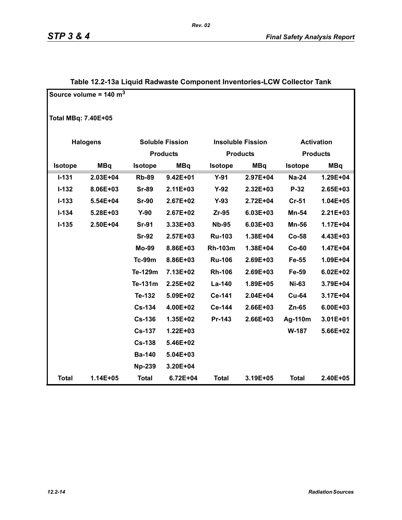|                            | Source volume = $140 \text{ m}^3$ |                |                        |                |                          |                   |                 |
|----------------------------|-----------------------------------|----------------|------------------------|----------------|--------------------------|-------------------|-----------------|
| <b>Total MBq: 7.40E+05</b> |                                   |                |                        |                |                          |                   |                 |
| <b>Halogens</b>            |                                   |                | <b>Soluble Fission</b> |                | <b>Insoluble Fission</b> | <b>Activation</b> |                 |
|                            |                                   |                | <b>Products</b>        |                | <b>Products</b>          |                   | <b>Products</b> |
| Isotope                    | <b>MBq</b>                        | <b>Isotope</b> | <b>MBq</b>             | <b>Isotope</b> | <b>MBq</b>               | <b>Isotope</b>    | <b>MBq</b>      |
| $I - 131$                  | $2.03E + 04$                      | <b>Rb-89</b>   | $9.42E + 01$           | $Y-91$         | 2.97E+04                 | <b>Na-24</b>      | 1.29E+04        |
| $I - 132$                  | 8.06E+03                          | <b>Sr-89</b>   | $2.11E + 03$           | $Y-92$         | 2.32E+03                 | P-32              | 2.65E+03        |
| $I - 133$                  | 5.54E+04                          | <b>Sr-90</b>   | 2.67E+02               | $Y-93$         | 2.72E+04                 | $Cr-51$           | $1.04E + 05$    |
| $I - 134$                  | 5.28E+03                          | $Y-90$         | 2.67E+02               | $Zr-95$        | 6.03E+03                 | Mn-54             | $2.21E + 03$    |
| $I-135$                    | 2.50E+04                          | <b>Sr-91</b>   | 3.33E+03               | <b>Nb-95</b>   | 6.03E+03                 | <b>Mn-56</b>      | 1.17E+04        |
|                            |                                   | <b>Sr-92</b>   | 2.57E+03               | <b>Ru-103</b>  | 1.38E+04                 | $Co-58$           | 4.43E+03        |
|                            |                                   | <b>Mo-99</b>   | 8.86E+03               | <b>Rh-103m</b> | 1.38E+04                 | $Co-60$           | 1.47E+04        |
|                            |                                   | <b>Tc-99m</b>  | 8.86E+03               | <b>Ru-106</b>  | 2.69E+03                 | Fe-55             | 1.09E+04        |
|                            |                                   | Te-129m        | 7.13E+02               | <b>Rh-106</b>  | 2.69E+03                 | Fe-59             | $6.02E + 02$    |
|                            |                                   | Te-131m        | 2.25E+02               | La-140         | 1.89E+05                 | <b>Ni-63</b>      | 3.79E+04        |
|                            |                                   | Te-132         | 5.09E+02               | Ce-141         | 2.04E+04                 | <b>Cu-64</b>      | 3.17E+04        |
|                            |                                   | <b>Cs-134</b>  | 4.00E+02               | Ce-144         | 2.66E+03                 | Zn-65             | 6.00E+03        |
|                            |                                   | <b>Cs-136</b>  | 1.35E+02               | Pr-143         | 2.66E+03                 | Ag-110m           | 3.01E+01        |
|                            |                                   | <b>Cs-137</b>  | 1.22E+03               |                |                          | W-187             | 5.66E+02        |
|                            |                                   | <b>Cs-138</b>  | 5.46E+02               |                |                          |                   |                 |
|                            |                                   | <b>Ba-140</b>  | 5.04E+03               |                |                          |                   |                 |
|                            |                                   | <b>Np-239</b>  | 3.20E+04               |                |                          |                   |                 |
| <b>Total</b>               | 1.14E+05                          | <b>Total</b>   | 6.72E+04               | <b>Total</b>   | 3.19E+05                 | <b>Total</b>      | 2.40E+05        |

# **Table 12.2-13a Liquid Radwaste Component Inventories-LCW Collector Tank**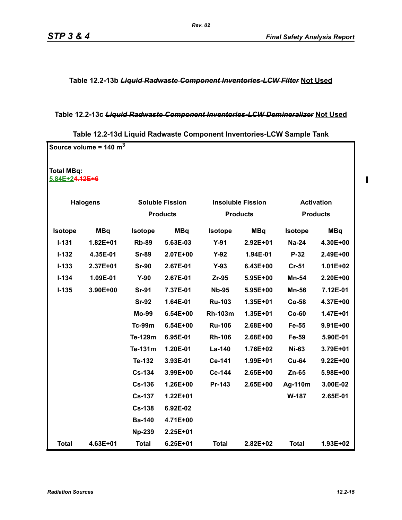**Table 12.2-13b** *Liquid Radwaste Component Inventories-LCW Filter* **Not Used**

## **Table 12.2-13c** *Liquid Radwaste Component Inventories-LCW Demineralizer* **Not Used**

|                                     | Source volume = $140 \text{ m}^3$ |                |                        |                |                          |                |                   |
|-------------------------------------|-----------------------------------|----------------|------------------------|----------------|--------------------------|----------------|-------------------|
| <b>Total MBq:</b><br>5.84E+24.12E+6 |                                   |                |                        |                |                          |                |                   |
| <b>Halogens</b>                     |                                   |                | <b>Soluble Fission</b> |                | <b>Insoluble Fission</b> |                | <b>Activation</b> |
|                                     |                                   |                | <b>Products</b>        |                | <b>Products</b>          |                | <b>Products</b>   |
| <b>Isotope</b>                      | <b>MBq</b>                        | <b>Isotope</b> | <b>MBq</b>             | Isotope        | <b>MBq</b>               | <b>Isotope</b> | <b>MBq</b>        |
| $I - 131$                           | $1.82E + 01$                      | <b>Rb-89</b>   | 5.63E-03               | $Y-91$         | 2.92E+01                 | <b>Na-24</b>   | 4.30E+00          |
| $I-132$                             | 4.35E-01                          | <b>Sr-89</b>   | 2.07E+00               | $Y-92$         | 1.94E-01                 | $P-32$         | 2.49E+00          |
| $I - 133$                           | 2.37E+01                          | <b>Sr-90</b>   | 2.67E-01               | $Y-93$         | 6.43E+00                 | <b>Cr-51</b>   | $1.01E + 02$      |
| $I - 134$                           | 1.09E-01                          | $Y-90$         | 2.67E-01               | $Zr-95$        | 5.95E+00                 | Mn-54          | 2.20E+00          |
| $I-135$                             | 3.90E+00                          | <b>Sr-91</b>   | 7.37E-01               | <b>Nb-95</b>   | 5.95E+00                 | <b>Mn-56</b>   | 7.12E-01          |
|                                     |                                   | <b>Sr-92</b>   | 1.64E-01               | <b>Ru-103</b>  | 1.35E+01                 | $Co-58$        | 4.37E+00          |
|                                     |                                   | <b>Mo-99</b>   | 6.54E+00               | <b>Rh-103m</b> | 1.35E+01                 | $Co-60$        | 1.47E+01          |
|                                     |                                   | <b>Tc-99m</b>  | $6.54E + 00$           | <b>Ru-106</b>  | 2.68E+00                 | Fe-55          | 9.91E+00          |
|                                     |                                   | Te-129m        | 6.95E-01               | <b>Rh-106</b>  | 2.68E+00                 | Fe-59          | 5.90E-01          |
|                                     |                                   | Te-131m        | 1.20E-01               | La-140         | 1.76E+02                 | <b>Ni-63</b>   | 3.79E+01          |
|                                     |                                   | Te-132         | 3.93E-01               | Ce-141         | 1.99E+01                 | <b>Cu-64</b>   | $9.22E + 00$      |
|                                     |                                   | <b>Cs-134</b>  | 3.99E+00               | Ce-144         | 2.65E+00                 | $Zn-65$        | 5.98E+00          |
|                                     |                                   | <b>Cs-136</b>  | 1.26E+00               | Pr-143         | 2.65E+00                 | Ag-110m        | 3.00E-02          |
|                                     |                                   | <b>Cs-137</b>  | $1.22E + 01$           |                |                          | W-187          | 2.65E-01          |
|                                     |                                   | <b>Cs-138</b>  | 6.92E-02               |                |                          |                |                   |
|                                     |                                   | <b>Ba-140</b>  | 4.71E+00               |                |                          |                |                   |
|                                     |                                   | <b>Np-239</b>  | 2.25E+01               |                |                          |                |                   |
| <b>Total</b>                        | 4.63E+01                          | <b>Total</b>   | 6.25E+01               | <b>Total</b>   | 2.82E+02                 | <b>Total</b>   | 1.93E+02          |

 $\blacksquare$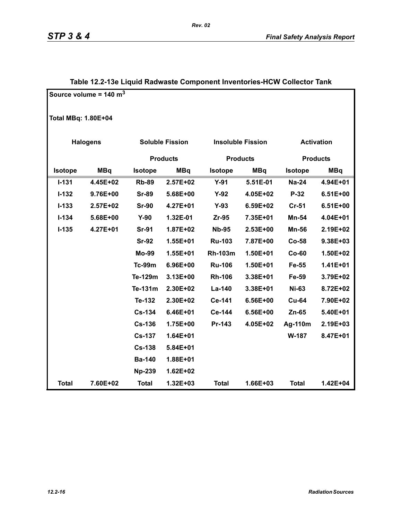|                            | Source volume = $140 \text{ m}^3$ |                 |                        |                 |                          |                   |                 |
|----------------------------|-----------------------------------|-----------------|------------------------|-----------------|--------------------------|-------------------|-----------------|
| <b>Total MBq: 1.80E+04</b> |                                   |                 |                        |                 |                          |                   |                 |
|                            | <b>Halogens</b>                   |                 | <b>Soluble Fission</b> |                 | <b>Insoluble Fission</b> | <b>Activation</b> |                 |
|                            |                                   | <b>Products</b> |                        | <b>Products</b> |                          |                   | <b>Products</b> |
| Isotope                    | <b>MBq</b>                        | <b>Isotope</b>  | <b>MBq</b>             | <b>Isotope</b>  | <b>MBq</b>               | <b>Isotope</b>    | <b>MBq</b>      |
| $I - 131$                  | 4.45E+02                          | <b>Rb-89</b>    | 2.57E+02               | $Y-91$          | 5.51E-01                 | <b>Na-24</b>      | 4.94E+01        |
| $I-132$                    | 9.76E+00                          | <b>Sr-89</b>    | 5.68E+00               | $Y-92$          | 4.05E+02                 | $P-32$            | $6.51E+00$      |
| $I - 133$                  | 2.57E+02                          | <b>Sr-90</b>    | 4.27E+01               | $Y-93$          | 6.59E+02                 | $Cr-51$           | $6.51E+00$      |
| $I - 134$                  | 5.68E+00                          | $Y-90$          | 1.32E-01               | Zr-95           | 7.35E+01                 | Mn-54             | 4.04E+01        |
| $I-135$                    | 4.27E+01                          | <b>Sr-91</b>    | 1.87E+02               | <b>Nb-95</b>    | 2.53E+00                 | <b>Mn-56</b>      | 2.19E+02        |
|                            |                                   | <b>Sr-92</b>    | 1.55E+01               | <b>Ru-103</b>   | 7.87E+00                 | <b>Co-58</b>      | 9.38E+03        |
|                            |                                   | <b>Mo-99</b>    | 1.55E+01               | <b>Rh-103m</b>  | 1.50E+01                 | $Co-60$           | 1.50E+02        |
|                            |                                   | <b>Tc-99m</b>   | 6.96E+00               | <b>Ru-106</b>   | 1.50E+01                 | Fe-55             | $1.41E + 01$    |
|                            |                                   | Te-129m         | 3.13E+00               | <b>Rh-106</b>   | 3.38E+01                 | Fe-59             | 3.79E+02        |
|                            |                                   | Te-131m         | 2.30E+02               | La-140          | 3.38E+01                 | <b>Ni-63</b>      | 8.72E+02        |
|                            |                                   | Te-132          | 2.30E+02               | Ce-141          | 6.56E+00                 | <b>Cu-64</b>      | 7.90E+02        |
|                            |                                   | Cs-134          | 6.46E+01               | Ce-144          | 6.56E+00                 | Zn-65             | 5.40E+01        |
|                            |                                   | <b>Cs-136</b>   | 1.75E+00               | Pr-143          | 4.05E+02                 | Ag-110m           | 2.19E+03        |
|                            |                                   | <b>Cs-137</b>   | 1.64E+01               |                 |                          | W-187             | 8.47E+01        |
|                            |                                   | <b>Cs-138</b>   | 5.84E+01               |                 |                          |                   |                 |
|                            |                                   | <b>Ba-140</b>   | 1.88E+01               |                 |                          |                   |                 |
|                            |                                   | <b>Np-239</b>   | $1.62E + 02$           |                 |                          |                   |                 |
| <b>Total</b>               | 7.60E+02                          | <b>Total</b>    | 1.32E+03               | <b>Total</b>    | 1.66E+03                 | <b>Total</b>      | 1.42E+04        |

# **Table 12.2-13e Liquid Radwaste Component Inventories-HCW Collector Tank**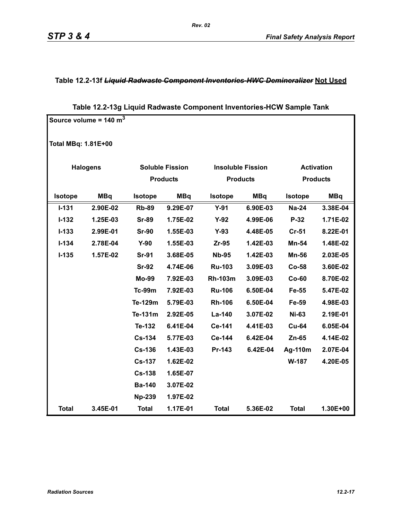## **Table 12.2-13f** *Liquid Radwaste Component Inventories-HWC Demineralizer* **Not Used**

# **Table 12.2-13g Liquid Radwaste Component Inventories-HCW Sample Tank**

|                            | Source volume = $140 \text{ m}^3$ |                        |                 |                 |                          |                |                   |
|----------------------------|-----------------------------------|------------------------|-----------------|-----------------|--------------------------|----------------|-------------------|
| <b>Total MBq: 1.81E+00</b> |                                   |                        |                 |                 |                          |                |                   |
| <b>Halogens</b>            |                                   | <b>Soluble Fission</b> |                 |                 | <b>Insoluble Fission</b> |                | <b>Activation</b> |
|                            |                                   |                        | <b>Products</b> | <b>Products</b> |                          |                | <b>Products</b>   |
| Isotope                    | <b>MBq</b>                        | <b>Isotope</b>         | <b>MBq</b>      | Isotope         | <b>MBq</b>               | <b>Isotope</b> | <b>MBq</b>        |
| $I - 131$                  | 2.90E-02                          | <b>Rb-89</b>           | 9.29E-07        | $Y-91$          | 6.90E-03                 | <b>Na-24</b>   | 3.38E-04          |
| $I-132$                    | 1.25E-03                          | <b>Sr-89</b>           | 1.75E-02        | $Y-92$          | 4.99E-06                 | $P-32$         | 1.71E-02          |
| $I-133$                    | 2.99E-01                          | <b>Sr-90</b>           | 1.55E-03        | $Y-93$          | 4.48E-05                 | $Cr-51$        | 8.22E-01          |
| $I - 134$                  | 2.78E-04                          | $Y-90$                 | 1.55E-03        | Zr-95           | 1.42E-03                 | Mn-54          | 1.48E-02          |
| $I-135$                    | 1.57E-02                          | <b>Sr-91</b>           | 3.68E-05        | <b>Nb-95</b>    | 1.42E-03                 | <b>Mn-56</b>   | 2.03E-05          |
|                            |                                   | <b>Sr-92</b>           | 4.74E-06        | <b>Ru-103</b>   | 3.09E-03                 | <b>Co-58</b>   | 3.60E-02          |
|                            |                                   | <b>Mo-99</b>           | 7.92E-03        | <b>Rh-103m</b>  | 3.09E-03                 | $Co-60$        | 8.70E-02          |
|                            |                                   | <b>Tc-99m</b>          | 7.92E-03        | <b>Ru-106</b>   | 6.50E-04                 | Fe-55          | 5.47E-02          |
|                            |                                   | Te-129m                | 5.79E-03        | <b>Rh-106</b>   | 6.50E-04                 | Fe-59          | 4.98E-03          |
|                            |                                   | Te-131m                | 2.92E-05        | La-140          | 3.07E-02                 | <b>Ni-63</b>   | 2.19E-01          |
|                            |                                   | Te-132                 | 6.41E-04        | Ce-141          | 4.41E-03                 | <b>Cu-64</b>   | 6.05E-04          |
|                            |                                   | <b>Cs-134</b>          | 5.77E-03        | Ce-144          | 6.42E-04                 | Zn-65          | 4.14E-02          |
|                            |                                   | <b>Cs-136</b>          | 1.43E-03        | Pr-143          | 6.42E-04                 | Ag-110m        | 2.07E-04          |
|                            |                                   | <b>Cs-137</b>          | 1.62E-02        |                 |                          | W-187          | 4.20E-05          |
|                            |                                   | <b>Cs-138</b>          | 1.65E-07        |                 |                          |                |                   |
|                            |                                   | <b>Ba-140</b>          | 3.07E-02        |                 |                          |                |                   |
|                            |                                   | <b>Np-239</b>          | 1.97E-02        |                 |                          |                |                   |
| <b>Total</b>               | 3.45E-01                          | <b>Total</b>           | 1.17E-01        | <b>Total</b>    | 5.36E-02                 | <b>Total</b>   | 1.30E+00          |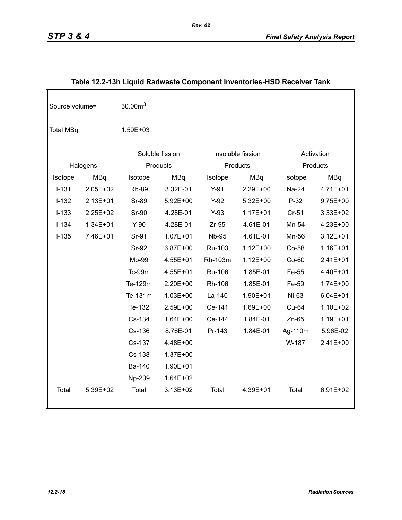| Source volume=   |              | 30.00 <sup>3</sup> |              |              |                   |         |              |  |
|------------------|--------------|--------------------|--------------|--------------|-------------------|---------|--------------|--|
| <b>Total MBq</b> |              | 1.59E+03           |              |              |                   |         |              |  |
|                  |              | Soluble fission    |              |              | Insoluble fission |         | Activation   |  |
|                  | Halogens     |                    | Products     |              | Products          |         | Products     |  |
| Isotope          | <b>MBq</b>   | Isotope            | <b>MBq</b>   | Isotope      | <b>MBq</b>        | Isotope | <b>MBq</b>   |  |
| $I-131$          | 2.05E+02     | <b>Rb-89</b>       | 3.32E-01     | $Y-91$       | 2.29E+00          | Na-24   | 4.71E+01     |  |
| $I-132$          | 2.13E+01     | <b>Sr-89</b>       | 5.92E+00     | $Y-92$       | 5.32E+00          | $P-32$  | 9.75E+00     |  |
| $I-133$          | 2.25E+02     | <b>Sr-90</b>       | 4.28E-01     | $Y-93$       | $1.17E + 01$      | $Cr-51$ | 3.33E+02     |  |
| $I-134$          | $1.34E + 01$ | $Y-90$             | 4.28E-01     | $Zr-95$      | 4.61E-01          | Mn-54   | 4.23E+00     |  |
| $I-135$          | 7.46E+01     | Sr-91              | $1.07E + 01$ | <b>Nb-95</b> | 4.61E-01          | Mn-56   | $3.12E + 01$ |  |
|                  |              | Sr-92              | 6.87E+00     | Ru-103       | $1.12E + 00$      | Co-58   | 1.16E+01     |  |
|                  |              | Mo-99              | 4.55E+01     | Rh-103m      | $1.12E + 00$      | $Co-60$ | 2.41E+01     |  |
|                  |              | Tc-99m             | 4.55E+01     | Ru-106       | 1.85E-01          | Fe-55   | 4.40E+01     |  |
|                  |              | Te-129m            | 2.20E+00     | Rh-106       | 1.85E-01          | Fe-59   | $1.74E + 00$ |  |
|                  |              | Te-131m            | $1.03E + 00$ | La-140       | 1.90E+01          | Ni-63   | $6.04E + 01$ |  |
|                  |              | Te-132             | 2.59E+00     | Ce-141       | 1.69E+00          | Cu-64   | 1.10E+02     |  |
|                  |              | Cs-134             | $1.64E + 00$ | Ce-144       | 1.84E-01          | $Zn-65$ | 1.19E+01     |  |
|                  |              | Cs-136             | 8.76E-01     | Pr-143       | 1.84E-01          | Ag-110m | 5.96E-02     |  |
|                  |              | Cs-137             | 4.48E+00     |              |                   | W-187   | 2.41E+00     |  |
|                  |              | Cs-138             | 1.37E+00     |              |                   |         |              |  |
|                  |              | Ba-140             | 1.90E+01     |              |                   |         |              |  |
|                  |              | Np-239             | 1.64E+02     |              |                   |         |              |  |
| Total            | 5.39E+02     | Total              | 3.13E+02     | Total        | 4.39E+01          | Total   | 6.91E+02     |  |

# **Table 12.2-13h Liquid Radwaste Component Inventories-HSD Receiver Tank**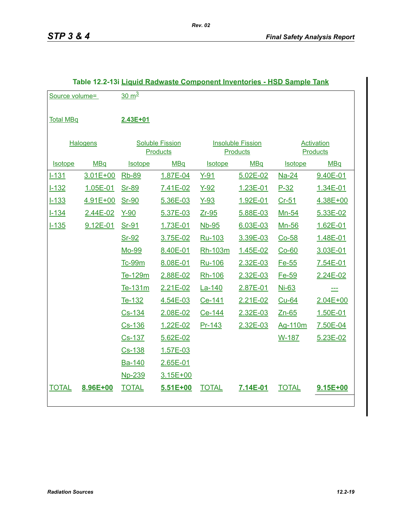| Source volume=   |            | $30 \text{ m}^3$                          |          |                |                                             |                |                               |
|------------------|------------|-------------------------------------------|----------|----------------|---------------------------------------------|----------------|-------------------------------|
| <b>Total MBq</b> |            | 2.43E+01                                  |          |                |                                             |                |                               |
| <b>Halogens</b>  |            | <b>Soluble Fission</b><br><b>Products</b> |          |                | <b>Insoluble Fission</b><br><b>Products</b> |                | Activation<br><b>Products</b> |
| <b>Isotope</b>   | <b>MBq</b> | <b>Isotope</b>                            | MBq      | <b>Isotope</b> | <b>MBq</b>                                  | <b>Isotope</b> | <b>MBq</b>                    |
| $1 - 131$        | 3.01E+00   | Rb-89                                     | 1.87E-04 | $Y-91$         | 5.02E-02                                    | Na-24          | 9.40E-01                      |
| $1 - 132$        | 1.05E-01   | Sr-89                                     | 7.41E-02 | $Y-92$         | 1.23E-01                                    | $P-32$         | 1.34E-01                      |
| $1 - 133$        | 4.91E+00   | Sr-90                                     | 5.36E-03 | $Y-93$         | 1.92E-01                                    | $Cr-51$        | 4.38E+00                      |
| $1 - 134$        | 2.44E-02   | $Y-90$                                    | 5.37E-03 | $Zr-95$        | 5.88E-03                                    | Mn-54          | 5.33E-02                      |
| $1 - 135$        | 9.12E-01   | Sr-91                                     | 1.73E-01 | <b>Nb-95</b>   | 6.03E-03                                    | Mn-56          | 1.62E-01                      |
|                  |            | Sr-92                                     | 3.75E-02 | Ru-103         | 3.39E-03                                    | $Co-58$        | 1.48E-01                      |
|                  |            | Mo-99                                     | 8.40E-01 | Rh-103m        | 1.45E-02                                    | $Co-60$        | 3.03E-01                      |
|                  |            | <b>Tc-99m</b>                             | 8.08E-01 | Ru-106         | 2.32E-03                                    | Fe-55          | 7.54E-01                      |
|                  |            | Te-129m                                   | 2.88E-02 | Rh-106         | 2.32E-03                                    | Fe-59          | 2.24E-02                      |
|                  |            | Te-131m                                   | 2.21E-02 | La-140         | 2.87E-01                                    | Ni-63          | $=$                           |
|                  |            | Te-132                                    | 4.54E-03 | Ce-141         | 2.21E-02                                    | Cu-64          | 2.04E+00                      |
|                  |            | Cs-134                                    | 2.08E-02 | Ce-144         | 2.32E-03                                    | Zn-65          | 1.50E-01                      |
|                  |            | Cs-136                                    | 1.22E-02 | Pr-143         | 2.32E-03                                    | Ag-110m        | 7.50E-04                      |
|                  |            | Cs-137                                    | 5.62E-02 |                |                                             | W-187          | 5.23E-02                      |
|                  |            | Cs-138                                    | 1.57E-03 |                |                                             |                |                               |
|                  |            | Ba-140                                    | 2.65E-01 |                |                                             |                |                               |
|                  |            | Np-239                                    | 3.15E+00 |                |                                             |                |                               |
| <b>TOTAL</b>     | 8.96E+00   | <b>TOTAL</b>                              | 5.51E+00 | <b>TOTAL</b>   | 7.14E-01                                    | <b>TOTAL</b>   | 9.15E+00                      |
|                  |            |                                           |          |                |                                             |                |                               |

#### **Table 12.2-13i Liquid Radwaste Component Inventories - HSD Sample Tank**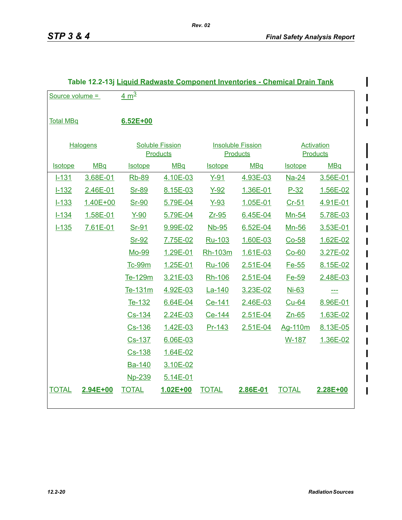I

 $\mathbf I$ 

| Source volume =  |            | 4 $m3$                                    |            |                                             |            |                                      |            |
|------------------|------------|-------------------------------------------|------------|---------------------------------------------|------------|--------------------------------------|------------|
| <b>Total MBq</b> |            | $6.52E + 00$                              |            |                                             |            |                                      |            |
| <b>Halogens</b>  |            | <b>Soluble Fission</b><br><b>Products</b> |            | <b>Insoluble Fission</b><br><b>Products</b> |            | <b>Activation</b><br><b>Products</b> |            |
| Isotope          | <b>MBq</b> | <b>Isotope</b>                            | <b>MBq</b> | <b>Isotope</b>                              | <b>MBq</b> | <b>Isotope</b>                       | <b>MBq</b> |
| $1 - 131$        | 3.68E-01   | <b>Rb-89</b>                              | 4.10E-03   | $Y-91$                                      | 4.93E-03   | <b>Na-24</b>                         | 3.56E-01   |
| $1 - 132$        | 2.46E-01   | <u>Sr-89</u>                              | 8.15E-03   | $Y-92$                                      | 1.36E-01   | $P-32$                               | 1.56E-02   |
| $1 - 133$        | 1.40E+00   | <u>Sr-90</u>                              | 5.79E-04   | <u>Y-93</u>                                 | 1.05E-01   | Cr-51                                | 4.91E-01   |
| $1 - 134$        | 1.58E-01   | Y-90                                      | 5.79E-04   | $Zr-95$                                     | 6.45E-04   | Mn-54                                | 5.78E-03   |
| $1 - 135$        | 7.61E-01   | <u>Sr-91</u>                              | 9.99E-02   | Nb-95                                       | 6.52E-04   | Mn-56                                | 3.53E-01   |
|                  |            | Sr-92                                     | 7.75E-02   | Ru-103                                      | 1.60E-03   | $Co-58$                              | 1.62E-02   |
|                  |            | Mo-99                                     | 1.29E-01   | Rh-103m                                     | 1.61E-03   | $Co-60$                              | 3.27E-02   |
|                  |            | Tc-99m                                    | 1.25E-01   | Ru-106                                      | 2.51E-04   | Fe-55                                | 8.15E-02   |
|                  |            | Te-129m                                   | 3.21E-03   | Rh-106                                      | 2.51E-04   | Fe-59                                | 2.48E-03   |
|                  |            | Te-131m                                   | 4.92E-03   | La-140                                      | 3.23E-02   | Ni-63                                | $\equiv$   |
|                  |            | Te-132                                    | 6.64E-04   | Ce-141                                      | 2.46E-03   | Cu-64                                | 8.96E-01   |
|                  |            | Cs-134                                    | 2.24E-03   | Ce-144                                      | 2.51E-04   | $Zn-65$                              | 1.63E-02   |
|                  |            | Cs-136                                    | 1.42E-03   | <u>Pr-143</u>                               | 2.51E-04   | Ag-110m                              | 8.13E-05   |
|                  |            | Cs-137                                    | 6.06E-03   |                                             |            | W-187                                | 1.36E-02   |
|                  |            | Cs-138                                    | 1.64E-02   |                                             |            |                                      |            |
|                  |            | Ba-140                                    | 3.10E-02   |                                             |            |                                      |            |
|                  |            | Np-239                                    | 5.14E-01   |                                             |            |                                      |            |
| <b>TOTAL</b>     | 2.94E+00   | <b>TOTAL</b>                              | 1.02E+00   | <b>TOTAL</b>                                | 2.86E-01   | <b>TOTAL</b>                         | 2.28E+00   |
|                  |            |                                           |            |                                             |            |                                      |            |

#### **Table 12.2-13j Liquid Radwaste Component Inventories - Chemical Drain Tank**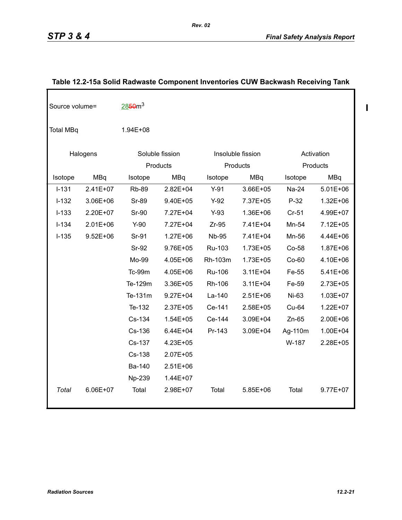$\begin{array}{c} \hline \end{array}$ 

| Source volume=   |              | 2850 <sup>3</sup> |              |              |                   |         |              |
|------------------|--------------|-------------------|--------------|--------------|-------------------|---------|--------------|
| <b>Total MBq</b> |              | 1.94E+08          |              |              |                   |         |              |
| Halogens         |              | Soluble fission   |              |              | Insoluble fission |         | Activation   |
|                  |              |                   | Products     |              | Products          |         | Products     |
| Isotope          | <b>MBq</b>   | Isotope           | <b>MBq</b>   | Isotope      | <b>MBq</b>        | Isotope | MBq          |
| $I-131$          | $2.41E+07$   | <b>Rb-89</b>      | $2.82E + 04$ | $Y-91$       | 3.66E+05          | Na-24   | $5.01E + 06$ |
| $I-132$          | 3.06E+06     | <b>Sr-89</b>      | 9.40E+05     | $Y-92$       | 7.37E+05          | $P-32$  | $1.32E + 06$ |
| $I - 133$        | 2.20E+07     | <b>Sr-90</b>      | 7.27E+04     | $Y-93$       | 1.36E+06          | $Cr-51$ | 4.99E+07     |
| $I-134$          | $2.01E + 06$ | $Y-90$            | 7.27E+04     | $Zr-95$      | 7.41E+04          | Mn-54   | 7.12E+05     |
| $I-135$          | $9.52E + 06$ | Sr-91             | $1.27E + 06$ | <b>Nb-95</b> | 7.41E+04          | Mn-56   | 4.44E+06     |
|                  |              | <b>Sr-92</b>      | 9.76E+05     | Ru-103       | 1.73E+05          | Co-58   | 1.87E+06     |
|                  |              | Mo-99             | 4.05E+06     | Rh-103m      | 1.73E+05          | Co-60   | 4.10E+06     |
|                  |              | <b>Tc-99m</b>     | 4.05E+06     | Ru-106       | $3.11E + 04$      | Fe-55   | 5.41E+06     |
|                  |              | Te-129m           | 3.36E+05     | Rh-106       | $3.11E + 04$      | Fe-59   | 2.73E+05     |
|                  |              | Te-131m           | $9.27E + 04$ | La-140       | $2.51E+06$        | Ni-63   | 1.03E+07     |
|                  |              | Te-132            | 2.37E+05     | Ce-141       | 2.58E+05          | $Cu-64$ | $1.22E + 07$ |
|                  |              | Cs-134            | $1.54E + 05$ | Ce-144       | 3.09E+04          | $Zn-65$ | 2.00E+06     |
|                  |              | Cs-136            | $6.44E + 04$ | Pr-143       | 3.09E+04          | Ag-110m | 1.00E+04     |
|                  |              | Cs-137            | 4.23E+05     |              |                   | W-187   | 2.28E+05     |
|                  |              | Cs-138            | 2.07E+05     |              |                   |         |              |
|                  |              | Ba-140            | $2.51E+06$   |              |                   |         |              |
|                  |              | Np-239            | 1.44E+07     |              |                   |         |              |
| Total            | 6.06E+07     | Total             | 2.98E+07     | Total        | $5.85E + 06$      | Total   | 9.77E+07     |

# **Table 12.2-15a Solid Radwaste Component Inventories CUW Backwash Receiving Tank**

*Rev. 02*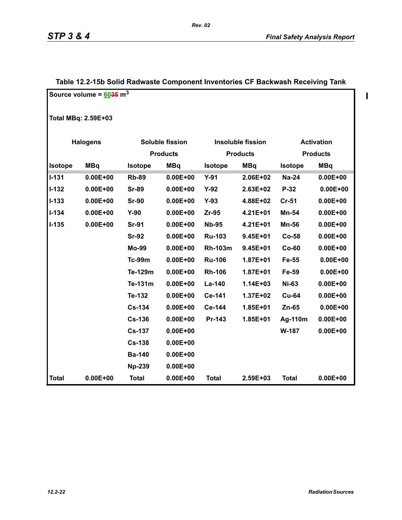$\blacksquare$ 

|              | Source volume = $6035 \text{ m}^3$ |                |                        |                |                          |              |                   |  |  |  |  |
|--------------|------------------------------------|----------------|------------------------|----------------|--------------------------|--------------|-------------------|--|--|--|--|
|              | <b>Total MBq: 2.59E+03</b>         |                |                        |                |                          |              |                   |  |  |  |  |
|              | <b>Halogens</b>                    |                | <b>Soluble fission</b> |                | <b>Insoluble fission</b> |              | <b>Activation</b> |  |  |  |  |
|              |                                    |                | <b>Products</b>        |                | <b>Products</b>          |              | <b>Products</b>   |  |  |  |  |
| Isotope      | <b>MBq</b>                         | <b>Isotope</b> | <b>MBq</b>             | <b>Isotope</b> | <b>MBq</b>               | Isotope      | <b>MBq</b>        |  |  |  |  |
| $I - 131$    | $0.00E + 00$                       | <b>Rb-89</b>   | $0.00E + 00$           | $Y-91$         | 2.06E+02                 | <b>Na-24</b> | $0.00E + 00$      |  |  |  |  |
| $I-132$      | $0.00E + 00$                       | <b>Sr-89</b>   | $0.00E + 00$           | $Y-92$         | 2.63E+02                 | P-32         | $0.00E + 00$      |  |  |  |  |
| $I - 133$    | $0.00E + 00$                       | <b>Sr-90</b>   | $0.00E + 00$           | $Y-93$         | 4.88E+02                 | $Cr-51$      | $0.00E + 00$      |  |  |  |  |
| $I - 134$    | $0.00E + 00$                       | $Y-90$         | $0.00E + 00$           | Zr-95          | 4.21E+01                 | Mn-54        | $0.00E + 00$      |  |  |  |  |
| $I-135$      | $0.00E + 00$                       | <b>Sr-91</b>   | $0.00E + 00$           | <b>Nb-95</b>   | 4.21E+01                 | <b>Mn-56</b> | $0.00E + 00$      |  |  |  |  |
|              |                                    | <b>Sr-92</b>   | $0.00E + 00$           | <b>Ru-103</b>  | 9.45E+01                 | <b>Co-58</b> | $0.00E + 00$      |  |  |  |  |
|              |                                    | <b>Mo-99</b>   | $0.00E + 00$           | <b>Rh-103m</b> | 9.45E+01                 | $Co-60$      | $0.00E + 00$      |  |  |  |  |
|              |                                    | <b>Tc-99m</b>  | $0.00E + 00$           | <b>Ru-106</b>  | 1.87E+01                 | Fe-55        | $0.00E + 00$      |  |  |  |  |
|              |                                    | Te-129m        | $0.00E + 00$           | <b>Rh-106</b>  | 1.87E+01                 | Fe-59        | $0.00E + 00$      |  |  |  |  |
|              |                                    | Te-131m        | $0.00E + 00$           | La-140         | 1.14E+03                 | <b>Ni-63</b> | $0.00E + 00$      |  |  |  |  |
|              |                                    | Te-132         | $0.00E + 00$           | Ce-141         | 1.37E+02                 | <b>Cu-64</b> | $0.00E + 00$      |  |  |  |  |
|              |                                    | <b>Cs-134</b>  | $0.00E + 00$           | Ce-144         | 1.85E+01                 | $Zn-65$      | $0.00E + 00$      |  |  |  |  |
|              |                                    | <b>Cs-136</b>  | $0.00E + 00$           | Pr-143         | 1.85E+01                 | Ag-110m      | $0.00E + 00$      |  |  |  |  |
|              |                                    | <b>Cs-137</b>  | $0.00E + 00$           |                |                          | W-187        | $0.00E + 00$      |  |  |  |  |
|              |                                    | <b>Cs-138</b>  | $0.00E + 00$           |                |                          |              |                   |  |  |  |  |
|              |                                    | <b>Ba-140</b>  | $0.00E + 00$           |                |                          |              |                   |  |  |  |  |
|              |                                    | <b>Np-239</b>  | $0.00E + 00$           |                |                          |              |                   |  |  |  |  |
| <b>Total</b> | $0.00E + 00$                       | <b>Total</b>   | $0.00E + 00$           | <b>Total</b>   | 2.59E+03                 | <b>Total</b> | $0.00E + 00$      |  |  |  |  |

# **Table 12.2-15b Solid Radwaste Component Inventories CF Backwash Receiving Tank**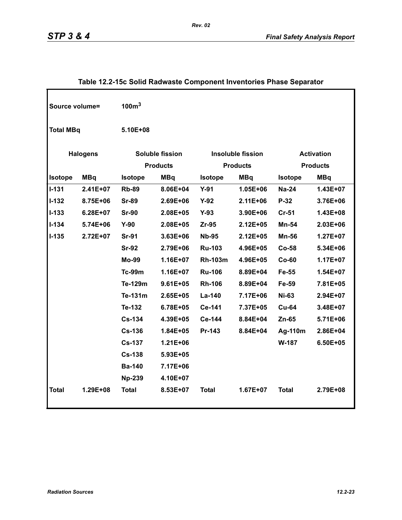| Source volume=   |                 | 100 <sup>3</sup>                   |              |                                             |              |                                      |            |  |  |
|------------------|-----------------|------------------------------------|--------------|---------------------------------------------|--------------|--------------------------------------|------------|--|--|
| <b>Total MBq</b> |                 | 5.10E+08                           |              |                                             |              |                                      |            |  |  |
|                  | <b>Halogens</b> | Soluble fission<br><b>Products</b> |              | <b>Insoluble fission</b><br><b>Products</b> |              | <b>Activation</b><br><b>Products</b> |            |  |  |
| Isotope          | <b>MBq</b>      | Isotope                            | <b>MBq</b>   | <b>Isotope</b>                              | <b>MBq</b>   | <b>Isotope</b>                       | <b>MBq</b> |  |  |
| $I-131$          | 2.41E+07        | <b>Rb-89</b>                       | 8.06E+04     | $Y-91$                                      | 1.05E+06     | <b>Na-24</b>                         | 1.43E+07   |  |  |
| $I-132$          | 8.75E+06        | <b>Sr-89</b>                       | 2.69E+06     | $Y-92$                                      | $2.11E + 06$ | P-32                                 | 3.76E+06   |  |  |
| $I-133$          | $6.28E + 07$    | <b>Sr-90</b>                       | 2.08E+05     | $Y-93$                                      | 3.90E+06     | <b>Cr-51</b>                         | 1.43E+08   |  |  |
| $I - 134$        | 5.74E+06        | $Y-90$                             | 2.08E+05     | Zr-95                                       | $2.12E + 05$ | Mn-54                                | 2.03E+06   |  |  |
| $I - 135$        | 2.72E+07        | <b>Sr-91</b>                       | $3.63E + 06$ | <b>Nb-95</b>                                | 2.12E+05     | <b>Mn-56</b>                         | 1.27E+07   |  |  |
|                  |                 | <b>Sr-92</b>                       | 2.79E+06     | <b>Ru-103</b>                               | 4.96E+05     | Co-58                                | 5.34E+06   |  |  |
|                  |                 | <b>Mo-99</b>                       | $1.16E + 07$ | <b>Rh-103m</b>                              | 4.96E+05     | $Co-60$                              | 1.17E+07   |  |  |
|                  |                 | <b>Tc-99m</b>                      | $1.16E + 07$ | <b>Ru-106</b>                               | 8.89E+04     | Fe-55                                | 1.54E+07   |  |  |
|                  |                 | Te-129m                            | $9.61E + 05$ | <b>Rh-106</b>                               | 8.89E+04     | Fe-59                                | 7.81E+05   |  |  |
|                  |                 | Te-131m                            | 2.65E+05     | La-140                                      | 7.17E+06     | <b>Ni-63</b>                         | 2.94E+07   |  |  |
|                  |                 | Te-132                             | 6.78E+05     | Ce-141                                      | 7.37E+05     | <b>Cu-64</b>                         | 3.48E+07   |  |  |
|                  |                 | <b>Cs-134</b>                      | 4.39E+05     | Ce-144                                      | 8.84E+04     | $Zn-65$                              | 5.71E+06   |  |  |
|                  |                 | <b>Cs-136</b>                      | 1.84E+05     | Pr-143                                      | 8.84E+04     | Ag-110m                              | 2.86E+04   |  |  |
|                  |                 | <b>Cs-137</b>                      | $1.21E + 06$ |                                             |              | W-187                                | 6.50E+05   |  |  |
|                  |                 | <b>Cs-138</b>                      | 5.93E+05     |                                             |              |                                      |            |  |  |
|                  |                 | <b>Ba-140</b>                      | 7.17E+06     |                                             |              |                                      |            |  |  |
|                  |                 | <b>Np-239</b>                      | 4.10E+07     |                                             |              |                                      |            |  |  |
| <b>Total</b>     | 1.29E+08        | <b>Total</b>                       | 8.53E+07     | <b>Total</b>                                | $1.67E + 07$ | <b>Total</b>                         | 2.79E+08   |  |  |

# **Table 12.2-15c Solid Radwaste Component Inventories Phase Separator**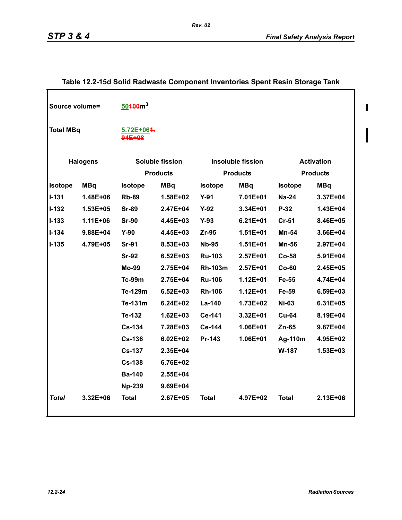$\begin{array}{c} \hline \end{array}$ 

 $\begin{array}{c} \hline \end{array}$ 

| Source volume=   |                 | $50400m^3$           |                        |                |                          |                 |                   |
|------------------|-----------------|----------------------|------------------------|----------------|--------------------------|-----------------|-------------------|
| <b>Total MBq</b> |                 | 5.72E+064.<br>94E+08 |                        |                |                          |                 |                   |
|                  | <b>Halogens</b> |                      | <b>Soluble fission</b> |                | <b>Insoluble fission</b> |                 | <b>Activation</b> |
|                  |                 |                      | <b>Products</b>        |                | <b>Products</b>          | <b>Products</b> |                   |
| <b>Isotope</b>   | <b>MBq</b>      | <b>Isotope</b>       | <b>MBq</b>             | <b>Isotope</b> | <b>MBq</b>               | <b>Isotope</b>  | <b>MBq</b>        |
| $I-131$          | 1.48E+06        | <b>Rb-89</b>         | 1.58E+02               | $Y-91$         | 7.01E+01                 | <b>Na-24</b>    | 3.37E+04          |
| $I-132$          | $1.53E + 05$    | <b>Sr-89</b>         | 2.47E+04               | $Y-92$         | $3.34E + 01$             | $P-32$          | 1.43E+04          |
| $I - 133$        | 1.11E+06        | <b>Sr-90</b>         | 4.45E+03               | $Y-93$         | $6.21E + 01$             | <b>Cr-51</b>    | 8.46E+05          |
| $I - 134$        | 9.88E+04        | $Y-90$               | 4.45E+03               | $Zr-95$        | $1.51E + 01$             | Mn-54           | $3.66E + 04$      |
| $I-135$          | 4.79E+05        | <b>Sr-91</b>         | 8.53E+03               | <b>Nb-95</b>   | $1.51E + 01$             | Mn-56           | 2.97E+04          |
|                  |                 | <b>Sr-92</b>         | $6.52E + 03$           | <b>Ru-103</b>  | $2.57E + 01$             | <b>Co-58</b>    | 5.91E+04          |
|                  |                 | <b>Mo-99</b>         | 2.75E+04               | <b>Rh-103m</b> | $2.57E + 01$             | $Co-60$         | 2.45E+05          |
|                  |                 | <b>Tc-99m</b>        | 2.75E+04               | <b>Ru-106</b>  | $1.12E + 01$             | Fe-55           | 4.74E+04          |
|                  |                 | Te-129m              | $6.52E + 03$           | <b>Rh-106</b>  | $1.12E + 01$             | Fe-59           | 6.59E+03          |
|                  |                 | Te-131m              | $6.24E + 02$           | La-140         | 1.73E+02                 | <b>Ni-63</b>    | $6.31E + 05$      |
|                  |                 | Te-132               | $1.62E + 03$           | Ce-141         | $3.32E + 01$             | <b>Cu-64</b>    | 8.19E+04          |
|                  |                 | <b>Cs-134</b>        | 7.28E+03               | Ce-144         | $1.06E + 01$             | $Zn-65$         | 9.87E+04          |
|                  |                 | <b>Cs-136</b>        | $6.02E + 02$           | Pr-143         | 1.06E+01                 | Ag-110m         | 4.95E+02          |
|                  |                 | $Cs-137$             | 2.35E+04               |                |                          | W-187           | $1.53E + 03$      |
|                  |                 | <b>Cs-138</b>        | 6.76E+02               |                |                          |                 |                   |
|                  |                 | <b>Ba-140</b>        | 2.55E+04               |                |                          |                 |                   |
|                  |                 | <b>Np-239</b>        | 9.69E+04               |                |                          |                 |                   |
| <b>Total</b>     | $3.32E + 06$    | <b>Total</b>         | 2.67E+05               | <b>Total</b>   | 4.97E+02                 | <b>Total</b>    | 2.13E+06          |

# **Table 12.2-15d Solid Radwaste Component Inventories Spent Resin Storage Tank**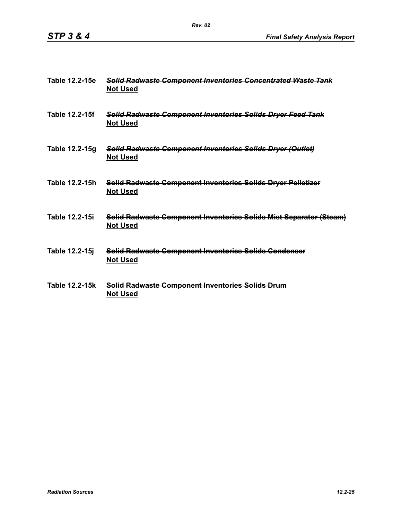| Table 12.2-15e | <b>Solid Radwaste Component Inventories Concentrated Waste Tank</b><br><b>Not Used</b> |
|----------------|----------------------------------------------------------------------------------------|
| Table 12.2-15f | Solid Radwaste Component Inventories Solids Dryer Feed Tank<br><b>Not Used</b>         |
| Table 12.2-15g | Solid Radwaste Component Inventories Solids Dryer (Outlet)<br><b>Not Used</b>          |
| Table 12.2-15h | <b>Solid Radwaste Component Inventories Solids Dryer Pelletizer</b><br><b>Not Used</b> |
| Table 12.2-15i | Solid Radwaste Component Inventories Solids Mist Separator (Steam)<br><b>Not Used</b>  |
| Table 12.2-15j | Solid Radwasto Component Inventories Solids Condenser<br><b>Not Used</b>               |
| Table 12.2-15k | Solid Radwaste Component Inventories Solids Drum<br><b>Not Used</b>                    |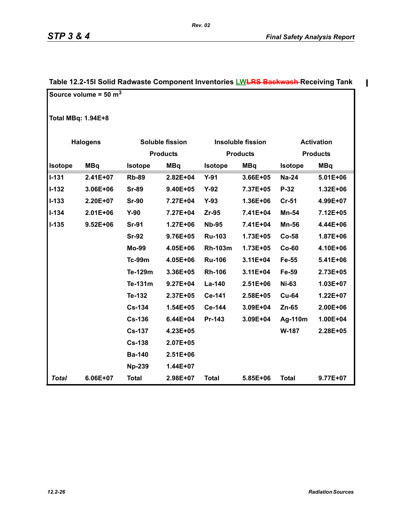$\mathbf{I}$ 

|                 | Source volume = $50 \text{ m}^3$ |               |                        |                |                          |                |                   |  |
|-----------------|----------------------------------|---------------|------------------------|----------------|--------------------------|----------------|-------------------|--|
|                 | <b>Total MBq: 1.94E+8</b>        |               |                        |                |                          |                |                   |  |
| <b>Halogens</b> |                                  |               | <b>Soluble fission</b> |                | <b>Insoluble fission</b> |                | <b>Activation</b> |  |
|                 |                                  |               | <b>Products</b>        |                | <b>Products</b>          |                | <b>Products</b>   |  |
| <b>Isotope</b>  | <b>MBq</b>                       | Isotope       | <b>MBq</b>             | Isotope        | <b>MBq</b>               | <b>Isotope</b> | <b>MBq</b>        |  |
| $I-131$         | $2.41E+07$                       | <b>Rb-89</b>  | 2.82E+04               | $Y-91$         | 3.66E+05                 | <b>Na-24</b>   | 5.01E+06          |  |
| $I - 132$       | 3.06E+06                         | <b>Sr-89</b>  | $9.40E + 05$           | $Y-92$         | 7.37E+05                 | P-32           | 1.32E+06          |  |
| $I-133$         | 2.20E+07                         | <b>Sr-90</b>  | 7.27E+04               | $Y-93$         | 1.36E+06                 | <b>Cr-51</b>   | 4.99E+07          |  |
| $I-134$         | $2.01E + 06$                     | $Y-90$        | 7.27E+04               | $Zr-95$        | 7.41E+04                 | Mn-54          | 7.12E+05          |  |
| $I-135$         | $9.52E + 06$                     | <b>Sr-91</b>  | $1.27E + 06$           | <b>Nb-95</b>   | 7.41E+04                 | <b>Mn-56</b>   | 4.44E+06          |  |
|                 |                                  | <b>Sr-92</b>  | 9.76E+05               | <b>Ru-103</b>  | 1.73E+05                 | <b>Co-58</b>   | 1.87E+06          |  |
|                 |                                  | <b>Mo-99</b>  | 4.05E+06               | <b>Rh-103m</b> | 1.73E+05                 | $Co-60$        | 4.10E+06          |  |
|                 |                                  | <b>Tc-99m</b> | 4.05E+06               | <b>Ru-106</b>  | 3.11E+04                 | Fe-55          | 5.41E+06          |  |
|                 |                                  | Te-129m       | 3.36E+05               | <b>Rh-106</b>  | 3.11E+04                 | Fe-59          | 2.73E+05          |  |
|                 |                                  | Te-131m       | $9.27E + 04$           | La-140         | 2.51E+06                 | <b>Ni-63</b>   | $1.03E + 07$      |  |
|                 |                                  | Te-132        | 2.37E+05               | Ce-141         | 2.58E+05                 | <b>Cu-64</b>   | $1.22E + 07$      |  |
|                 |                                  | <b>Cs-134</b> | $1.54E + 05$           | Ce-144         | 3.09E+04                 | $Zn-65$        | 2.00E+06          |  |
|                 |                                  | <b>Cs-136</b> | 6.44E+04               | Pr-143         | 3.09E+04                 | Ag-110m        | $1.00E + 04$      |  |
|                 |                                  | <b>Cs-137</b> | 4.23E+05               |                |                          | W-187          | 2.28E+05          |  |
|                 |                                  | <b>Cs-138</b> | 2.07E+05               |                |                          |                |                   |  |
|                 |                                  | <b>Ba-140</b> | 2.51E+06               |                |                          |                |                   |  |
|                 |                                  | <b>Np-239</b> | 1.44E+07               |                |                          |                |                   |  |
| <b>Total</b>    | 6.06E+07                         | <b>Total</b>  | 2.98E+07               | <b>Total</b>   | 5.85E+06                 | <b>Total</b>   | 9.77E+07          |  |

#### **Table 12.2-15l Solid Radwaste Component Inventories LWLRS Backwash Receiving Tank**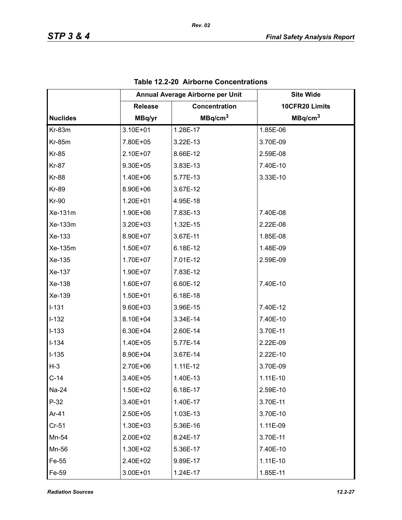|                 | Annual Average Airborne per Unit |                     | <b>Site Wide</b>    |
|-----------------|----------------------------------|---------------------|---------------------|
|                 | <b>Release</b>                   | Concentration       | 10CFR20 Limits      |
| <b>Nuclides</b> | MBq/yr                           | MBq/cm <sup>3</sup> | MBq/cm <sup>3</sup> |
| <b>Kr-83m</b>   | 3.10E+01                         | 1.28E-17            | 1.85E-06            |
| <b>Kr-85m</b>   | 7.80E+05                         | 3.22E-13            | 3.70E-09            |
| <b>Kr-85</b>    | 2.10E+07                         | 8.66E-12            | 2.59E-08            |
| <b>Kr-87</b>    | 9.30E+05                         | 3.83E-13            | 7.40E-10            |
| <b>Kr-88</b>    | 1.40E+06                         | 5.77E-13            | 3.33E-10            |
| <b>Kr-89</b>    | 8.90E+06                         | 3.67E-12            |                     |
| <b>Kr-90</b>    | 1.20E+01                         | 4.95E-18            |                     |
| Xe-131m         | 1.90E+06                         | 7.83E-13            | 7.40E-08            |
| Xe-133m         | 3.20E+03                         | 1.32E-15            | 2.22E-08            |
| Xe-133          | 8.90E+07                         | 3.67E-11            | 1.85E-08            |
| Xe-135m         | 1.50E+07                         | 6.18E-12            | 1.48E-09            |
| Xe-135          | 1.70E+07                         | 7.01E-12            | 2.59E-09            |
| Xe-137          | 1.90E+07                         | 7.83E-12            |                     |
| Xe-138          | 1.60E+07                         | 6.60E-12            | 7.40E-10            |
| Xe-139          | 1.50E+01                         | 6.18E-18            |                     |
| $I-131$         | 9.60E+03                         | 3.96E-15            | 7.40E-12            |
| $I-132$         | 8.10E+04                         | 3.34E-14            | 7.40E-10            |
| $I-133$         | 6.30E+04                         | 2.60E-14            | 3.70E-11            |
| $I-134$         | 1.40E+05                         | 5.77E-14            | 2.22E-09            |
| $I-135$         | 8.90E+04                         | 3.67E-14            | 2.22E-10            |
| $H-3$           | 2.70E+06                         | $1.11E-12$          | 3.70E-09            |
| $C-14$          | 3.40E+05                         | 1.40E-13            | $1.11E-10$          |
| Na-24           | 1.50E+02                         | 6.18E-17            | 2.59E-10            |
| $P-32$          | 3.40E+01                         | 1.40E-17            | 3.70E-11            |
| Ar-41           | $2.50E + 05$                     | 1.03E-13            | 3.70E-10            |
| $Cr-51$         | 1.30E+03                         | 5.36E-16            | 1.11E-09            |
| Mn-54           | 2.00E+02                         | 8.24E-17            | 3.70E-11            |
| Mn-56           | 1.30E+02                         | 5.36E-17            | 7.40E-10            |
| Fe-55           | 2.40E+02                         | 9.89E-17            | 1.11E-10            |
| Fe-59           | 3.00E+01                         | 1.24E-17            | 1.85E-11            |

| Table 12.2-20 Airborne Concentrations |
|---------------------------------------|
|---------------------------------------|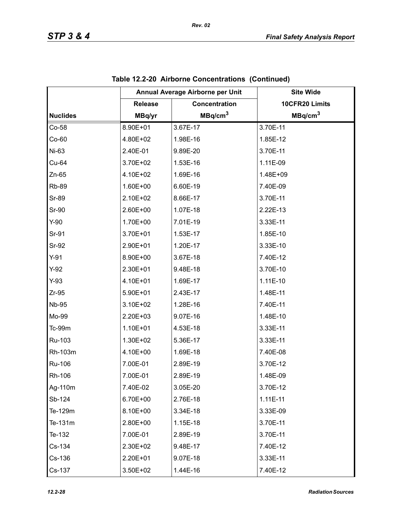|                 |                | Annual Average Airborne per Unit | <b>Site Wide</b>    |
|-----------------|----------------|----------------------------------|---------------------|
|                 | <b>Release</b> | Concentration                    | 10CFR20 Limits      |
| <b>Nuclides</b> | MBq/yr         | MBq/cm <sup>3</sup>              | MBq/cm <sup>3</sup> |
| $Co-58$         | 8.90E+01       | 3.67E-17                         | 3.70E-11            |
| $Co-60$         | 4.80E+02       | 1.98E-16                         | 1.85E-12            |
| Ni-63           | 2.40E-01       | 9.89E-20                         | 3.70E-11            |
| Cu-64           | 3.70E+02       | 1.53E-16                         | 1.11E-09            |
| $Zn-65$         | 4.10E+02       | 1.69E-16                         | 1.48E+09            |
| <b>Rb-89</b>    | 1.60E+00       | 6.60E-19                         | 7.40E-09            |
| <b>Sr-89</b>    | 2.10E+02       | 8.66E-17                         | 3.70E-11            |
| <b>Sr-90</b>    | 2.60E+00       | 1.07E-18                         | 2.22E-13            |
| $Y-90$          | 1.70E+00       | 7.01E-19                         | 3.33E-11            |
| Sr-91           | 3.70E+01       | 1.53E-17                         | 1.85E-10            |
| Sr-92           | 2.90E+01       | 1.20E-17                         | 3.33E-10            |
| $Y-91$          | 8.90E+00       | 3.67E-18                         | 7.40E-12            |
| $Y-92$          | 2.30E+01       | 9.48E-18                         | 3.70E-10            |
| $Y-93$          | 4.10E+01       | 1.69E-17                         | 1.11E-10            |
| $Zr-95$         | 5.90E+01       | 2.43E-17                         | 1.48E-11            |
| <b>Nb-95</b>    | 3.10E+02       | 1.28E-16                         | 7.40E-11            |
| Mo-99           | 2.20E+03       | 9.07E-16                         | 1.48E-10            |
| Tc-99m          | 1.10E+01       | 4.53E-18                         | 3.33E-11            |
| Ru-103          | 1.30E+02       | 5.36E-17                         | 3.33E-11            |
| Rh-103m         | 4.10E+00       | 1.69E-18                         | 7.40E-08            |
| Ru-106          | 7.00E-01       | 2.89E-19                         | 3.70E-12            |
| Rh-106          | 7.00E-01       | 2.89E-19                         | 1.48E-09            |
| Ag-110m         | 7.40E-02       | 3.05E-20                         | 3.70E-12            |
| Sb-124          | 6.70E+00       | 2.76E-18                         | $1.11E-11$          |
| Te-129m         | 8.10E+00       | 3.34E-18                         | 3.33E-09            |
| Te-131m         | 2.80E+00       | 1.15E-18                         | 3.70E-11            |
| Te-132          | 7.00E-01       | 2.89E-19                         | 3.70E-11            |
| Cs-134          | 2.30E+02       | 9.48E-17                         | 7.40E-12            |
| Cs-136          | 2.20E+01       | 9.07E-18                         | 3.33E-11            |
| Cs-137          | 3.50E+02       | 1.44E-16                         | 7.40E-12            |

|  | Table 12.2-20 Airborne Concentrations (Continued) |  |  |
|--|---------------------------------------------------|--|--|
|--|---------------------------------------------------|--|--|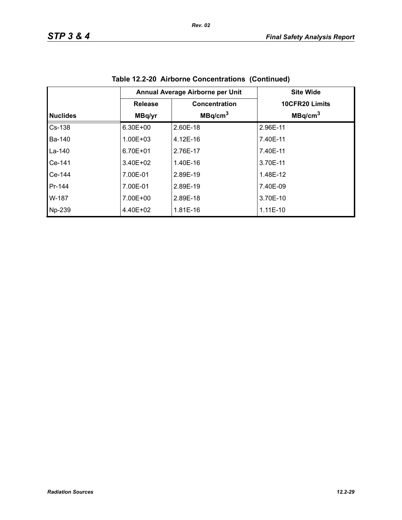|                 | Annual Average Airborne per Unit |                     |                     |
|-----------------|----------------------------------|---------------------|---------------------|
|                 | <b>Release</b>                   | Concentration       | 10CFR20 Limits      |
| <b>Nuclides</b> | MBq/yr                           | MBq/cm <sup>3</sup> | MBq/cm <sup>3</sup> |
| Cs-138          | $6.30E + 00$                     | 2.60E-18            | 2.96E-11            |
| <b>Ba-140</b>   | 1.00E+03                         | 4.12E-16            | 7.40E-11            |
| La-140          | 6.70E+01                         | 2.76E-17            | 7.40E-11            |
| Ce-141          | $3.40E + 02$                     | 1.40E-16            | 3.70E-11            |
| $Ce-144$        | 7.00E-01                         | 2.89E-19            | 1.48E-12            |
| Pr-144          | 7.00E-01                         | 2.89E-19            | 7.40E-09            |
| W-187           | 7.00E+00                         | 2.89E-18            | 3.70E-10            |
| Np-239          | 4.40E+02                         | 1.81E-16            | $1.11E-10$          |

**Table 12.2-20 Airborne Concentrations (Continued)**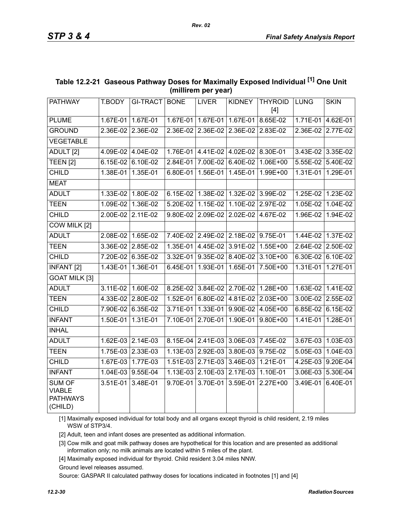| THEFT AND LOST                                               |                   |                   |             |                                     |                   |                         |             |                   |
|--------------------------------------------------------------|-------------------|-------------------|-------------|-------------------------------------|-------------------|-------------------------|-------------|-------------------|
| PATHWAY                                                      | T.BODY            | <b>GI-TRACT</b>   | <b>BONE</b> | <b>LIVER</b>                        | <b>KIDNEY</b>     | <b>THYROID</b><br>$[4]$ | <b>LUNG</b> | <b>SKIN</b>       |
| <b>PLUME</b>                                                 | $1.67E-01$        | 1.67E-01          |             | 1.67E-01 1.67E-01                   | 1.67E-01          | 8.65E-02                | $1.71E-01$  | 4.62E-01          |
| <b>GROUND</b>                                                |                   | 2.36E-02 2.36E-02 | 2.36E-02    | 2.36E-02                            | 2.36E-02          | 2.83E-02                | 2.36E-02    | 2.77E-02          |
| <b>VEGETABLE</b>                                             |                   |                   |             |                                     |                   |                         |             |                   |
| ADULT <sub>[2]</sub>                                         |                   | 4.09E-02 4.04E-02 |             | 1.76E-01 4.41E-02 4.02E-02 8.30E-01 |                   |                         |             | 3.43E-02 3.35E-02 |
| TEEN <sub>[2]</sub>                                          |                   | 6.15E-02 6.10E-02 | 2.84E-01    | 7.00E-02                            | 6.40E-02          | $1.06E + 00$            | $5.55E-02$  | 5.40E-02          |
| <b>CHILD</b>                                                 | 1.38E-01 1.35E-01 |                   | 6.80E-01    | 1.56E-01                            | $1.45E-01$        | 1.99E+00                | 1.31E-01    | 1.29E-01          |
| <b>MEAT</b>                                                  |                   |                   |             |                                     |                   |                         |             |                   |
| <b>ADULT</b>                                                 |                   | 1.33E-02 1.80E-02 |             | 6.15E-02 1.38E-02 1.32E-02 3.99E-02 |                   |                         | 1.25E-02    | $1.23E-02$        |
| <b>TEEN</b>                                                  | 1.09E-02          | 1.36E-02          | 5.20E-02    | $1.15E-02$                          | $1.10E-02$        | 2.97E-02                | 1.05E-02    | 1.04E-02          |
| <b>CHILD</b>                                                 | 2.00E-02 2.11E-02 |                   | 9.80E-02    | 2.09E-02                            | 2.02E-02          | 4.67E-02                | 1.96E-02    | 1.94E-02          |
| COW MILK [2]                                                 |                   |                   |             |                                     |                   |                         |             |                   |
| <b>ADULT</b>                                                 |                   | 2.08E-02 1.65E-02 |             | 7.40E-02 2.49E-02 2.18E-02          |                   | 9.75E-01                | 1.44E-02    | 1.37E-02          |
| <b>TEEN</b>                                                  |                   | 3.36E-02 2.85E-02 | $1.35E-01$  | 4.45E-02                            | 3.91E-02          | $1.55E + 00$            |             | 2.64E-02 2.50E-02 |
| <b>CHILD</b>                                                 |                   | 7.20E-02 6.35E-02 | 3.32E-01    | $9.35E-02$                          | $8.40E-02$        | 3.10E+00                | $6.30E-02$  | 6.10E-02          |
| <b>INFANT</b> [2]                                            | 1.43E-01 1.36E-01 |                   | 6.45E-01    | 1.93E-01                            | $1.65E-01$        | 7.50E+00                | 1.31E-01    | 1.27E-01          |
| <b>GOAT MILK [3]</b>                                         |                   |                   |             |                                     |                   |                         |             |                   |
| <b>ADULT</b>                                                 |                   | 3.11E-02 1.60E-02 |             | 8.25E-02 3.84E-02                   |                   | 2.70E-02 1.28E+00       | $1.63E-02$  | $1.41E-02$        |
| <b>TEEN</b>                                                  | 4.33E-02          | 2.80E-02          | 1.52E-01    | 6.80E-02                            | 4.81E-02          | 2.03E+00                | 3.00E-02    | 2.55E-02          |
| <b>CHILD</b>                                                 |                   | 7.90E-02 6.35E-02 | 3.71E-01    | 1.33E-01                            |                   | $9.90E-02$ 4.05E+00     | 6.85E-02    | 6.15E-02          |
| <b>INFANT</b>                                                | 1.50E-01          | 1.31E-01          | 7.10E-01    | 2.70E-01                            | 1.90E-01          | $9.80E + 00$            | 1.41E-01    | $1.28E-01$        |
| <b>INHAL</b>                                                 |                   |                   |             |                                     |                   |                         |             |                   |
| <b>ADULT</b>                                                 |                   | 1.62E-03 2.14E-03 |             | 8.15E-04 2.41E-03                   | 3.06E-03 7.45E-02 |                         |             | 3.67E-03 1.03E-03 |
| <b>TEEN</b>                                                  |                   | 1.75E-03 2.33E-03 | $1.13E-03$  | 2.92E-03                            | 3.80E-03          | 9.75E-02                | 5.05E-03    | 1.04E-03          |
| <b>CHILD</b>                                                 |                   | 1.67E-03 1.77E-03 |             | 1.51E-03 2.71E-03                   | 3.46E-03 1.21E-01 |                         |             | 4.25E-03 9.20E-04 |
| <b>INFANT</b>                                                |                   | 1.04E-03 9.55E-04 |             | 1.13E-03 2.10E-03                   | 2.17E-03          | $1.10E-01$              | 3.06E-03    | 5.30E-04          |
| <b>SUM OF</b><br><b>VIABLE</b><br><b>PATHWAYS</b><br>(CHILD) | 3.51E-01 3.48E-01 |                   |             | 9.70E-01 3.70E-01                   | 3.59E-01          | $2.27E+00$              | 3.49E-01    | $6.40E-01$        |

# **Table 12.2-21 Gaseous Pathway Doses for Maximally Exposed Individual [1] One Unit (millirem per year)**

[1] Maximally exposed individual for total body and all organs except thyroid is child resident, 2.19 miles WSW of STP3/4.

[2] Adult, teen and infant doses are presented as additional information.

[3] Cow milk and goat milk pathway doses are hypothetical for this location and are presented as additional information only; no milk animals are located within 5 miles of the plant.

[4] Maximally exposed individual for thyroid. Child resident 3.04 miles NNW.

Ground level releases assumed.

Source: GASPAR II calculated pathway doses for locations indicated in footnotes [1] and [4]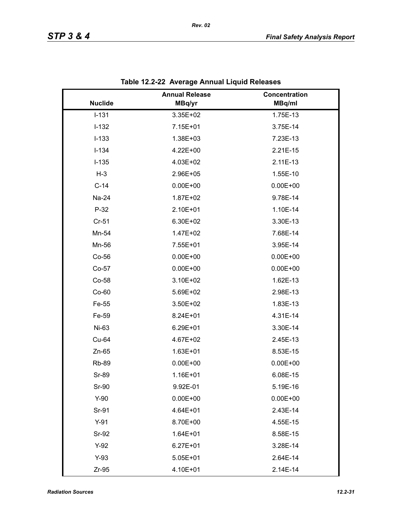|                | <b>Annual Release</b> | Concentration |
|----------------|-----------------------|---------------|
| <b>Nuclide</b> | MBq/yr                | MBq/ml        |
| $I-131$        | 3.35E+02              | 1.75E-13      |
| $I-132$        | 7.15E+01              | 3.75E-14      |
| $I-133$        | 1.38E+03              | 7.23E-13      |
| $I-134$        | 4.22E+00              | 2.21E-15      |
| $I-135$        | 4.03E+02              | 2.11E-13      |
| $H-3$          | 2.96E+05              | 1.55E-10      |
| $C-14$         | $0.00E + 00$          | $0.00E + 00$  |
| Na-24          | 1.87E+02              | 9.78E-14      |
| $P-32$         | 2.10E+01              | 1.10E-14      |
| $Cr-51$        | 6.30E+02              | 3.30E-13      |
| Mn-54          | 1.47E+02              | 7.68E-14      |
| Mn-56          | 7.55E+01              | 3.95E-14      |
| Co-56          | $0.00E + 00$          | $0.00E + 00$  |
| $Co-57$        | $0.00E + 00$          | $0.00E + 00$  |
| Co-58          | 3.10E+02              | 1.62E-13      |
| $Co-60$        | 5.69E+02              | 2.98E-13      |
| Fe-55          | 3.50E+02              | 1.83E-13      |
| Fe-59          | 8.24E+01              | 4.31E-14      |
| Ni-63          | 6.29E+01              | 3.30E-14      |
| Cu-64          | 4.67E+02              | 2.45E-13      |
| $Zn-65$        | $1.63E + 01$          | 8.53E-15      |
| <b>Rb-89</b>   | $0.00E + 00$          | $0.00E + 00$  |
| <b>Sr-89</b>   | 1.16E+01              | 6.08E-15      |
| Sr-90          | 9.92E-01              | 5.19E-16      |
| $Y-90$         | $0.00E + 00$          | $0.00E + 00$  |
| Sr-91          | 4.64E+01              | 2.43E-14      |
| $Y-91$         | 8.70E+00              | 4.55E-15      |
| Sr-92          | $1.64E + 01$          | 8.58E-15      |
| $Y-92$         | $6.27E + 01$          | 3.28E-14      |
| $Y-93$         | $5.05E + 01$          | 2.64E-14      |
| $Zr-95$        | 4.10E+01              | 2.14E-14      |

|  | Table 12.2-22 Average Annual Liquid Releases |
|--|----------------------------------------------|
|--|----------------------------------------------|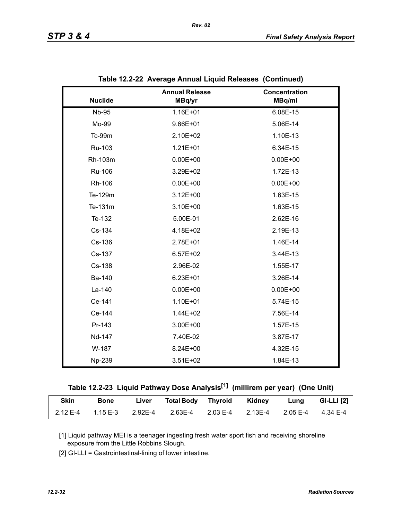|                | <b>Annual Release</b> | Concentration |
|----------------|-----------------------|---------------|
| <b>Nuclide</b> | MBq/yr                | MBq/ml        |
| <b>Nb-95</b>   | 1.16E+01              | 6.08E-15      |
| Mo-99          | 9.66E+01              | 5.06E-14      |
| Tc-99m         | 2.10E+02              | 1.10E-13      |
| Ru-103         | $1.21E + 01$          | 6.34E-15      |
| Rh-103m        | $0.00E + 00$          | $0.00E + 00$  |
| Ru-106         | 3.29E+02              | 1.72E-13      |
| Rh-106         | $0.00E + 00$          | $0.00E + 00$  |
| Te-129m        | $3.12E + 00$          | 1.63E-15      |
| Te-131m        | 3.10E+00              | 1.63E-15      |
| Te-132         | 5.00E-01              | 2.62E-16      |
| Cs-134         | 4.18E+02              | 2.19E-13      |
| Cs-136         | 2.78E+01              | 1.46E-14      |
| Cs-137         | $6.57E + 02$          | 3.44E-13      |
| Cs-138         | 2.96E-02              | 1.55E-17      |
| Ba-140         | $6.23E + 01$          | 3.26E-14      |
| La-140         | $0.00E + 00$          | $0.00E + 00$  |
| Ce-141         | 1.10E+01              | 5.74E-15      |
| Ce-144         | 1.44E+02              | 7.56E-14      |
| Pr-143         | 3.00E+00              | 1.57E-15      |
| Nd-147         | 7.40E-02              | 3.87E-17      |
| W-187          | 8.24E+00              | 4.32E-15      |
| Np-239         | $3.51E + 02$          | 1.84E-13      |

| Table 12.2-22 Average Annual Liquid Releases (Continued) |  |
|----------------------------------------------------------|--|
|                                                          |  |

*Rev. 02*

| Table 12.2-23  Liquid Pathway Dose Analysis <sup>[1]</sup> (millirem per year)  (One Unit) |  |  |  |  |
|--------------------------------------------------------------------------------------------|--|--|--|--|
|                                                                                            |  |  |  |  |

| <b>Skin</b> | <b>Bone</b> | Liver | Total Body Thyroid Kidney                                         |  | <b>Eung</b> | GI-LLI $[2]$ |
|-------------|-------------|-------|-------------------------------------------------------------------|--|-------------|--------------|
| 2.12 E-4    |             |       | 1.15 E-3  2.92E-4  2.63E-4  2.03 E-4  2.13E-4  2.05 E-4  4.34 E-4 |  |             |              |

[1] Liquid pathway MEI is a teenager ingesting fresh water sport fish and receiving shoreline exposure from the Little Robbins Slough.

[2] GI-LLI = Gastrointestinal-lining of lower intestine.